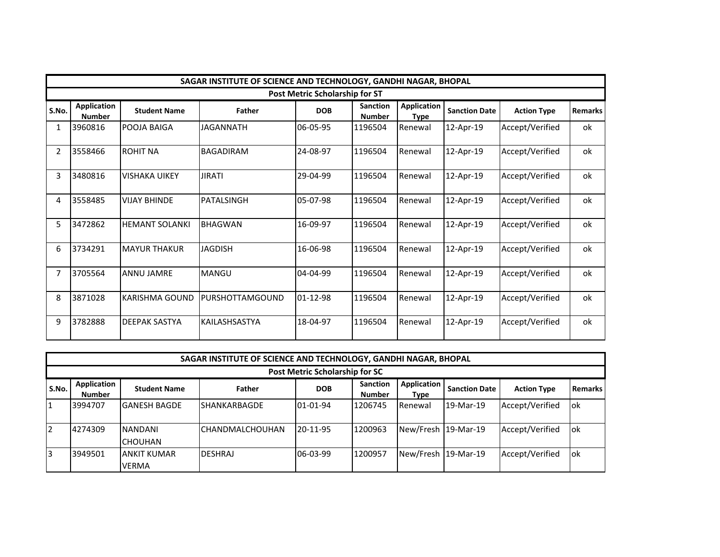|                | SAGAR INSTITUTE OF SCIENCE AND TECHNOLOGY, GANDHI NAGAR, BHOPAL |                       |                  |                                       |                                  |                                   |                      |                    |                |  |  |  |
|----------------|-----------------------------------------------------------------|-----------------------|------------------|---------------------------------------|----------------------------------|-----------------------------------|----------------------|--------------------|----------------|--|--|--|
|                |                                                                 |                       |                  | <b>Post Metric Scholarship for ST</b> |                                  |                                   |                      |                    |                |  |  |  |
| S.No.          | <b>Application</b><br><b>Number</b>                             | <b>Student Name</b>   | <b>Father</b>    | <b>DOB</b>                            | <b>Sanction</b><br><b>Number</b> | <b>Application</b><br><b>Type</b> | <b>Sanction Date</b> | <b>Action Type</b> | <b>Remarks</b> |  |  |  |
| 1              | 3960816                                                         | POOJA BAIGA           | <b>JAGANNATH</b> | 06-05-95                              | 1196504                          | Renewal                           | 12-Apr-19            | Accept/Verified    | ok             |  |  |  |
| $\overline{2}$ | 3558466                                                         | <b>ROHIT NA</b>       | <b>BAGADIRAM</b> | 24-08-97                              | 1196504                          | Renewal                           | 12-Apr-19            | Accept/Verified    | ok             |  |  |  |
| 3              | 3480816                                                         | <b>VISHAKA UIKEY</b>  | <b>JIRATI</b>    | 29-04-99                              | 1196504                          | Renewal                           | 12-Apr-19            | Accept/Verified    | ok             |  |  |  |
| 4              | 3558485                                                         | <b>VIJAY BHINDE</b>   | PATALSINGH       | 05-07-98                              | 1196504                          | Renewal                           | 12-Apr-19            | Accept/Verified    | ok             |  |  |  |
| 5              | 3472862                                                         | <b>HEMANT SOLANKI</b> | <b>BHAGWAN</b>   | 16-09-97                              | 1196504                          | Renewal                           | 12-Apr-19            | Accept/Verified    | ok             |  |  |  |
| 6              | 3734291                                                         | <b>MAYUR THAKUR</b>   | <b>JAGDISH</b>   | 16-06-98                              | 1196504                          | Renewal                           | 12-Apr-19            | Accept/Verified    | ok             |  |  |  |
| $\overline{7}$ | 3705564                                                         | <b>ANNU JAMRE</b>     | <b>MANGU</b>     | 04-04-99                              | 1196504                          | Renewal                           | 12-Apr-19            | Accept/Verified    | ok             |  |  |  |
| 8              | 3871028                                                         | KARISHMA GOUND        | PURSHOTTAMGOUND  | 01-12-98                              | 1196504                          | Renewal                           | 12-Apr-19            | Accept/Verified    | ok             |  |  |  |
| 9              | 3782888                                                         | <b>DEEPAK SASTYA</b>  | KAILASHSASTYA    | 18-04-97                              | 1196504                          | Renewal                           | 12-Apr-19            | Accept/Verified    | ok             |  |  |  |

|           | SAGAR INSTITUTE OF SCIENCE AND TECHNOLOGY, GANDHI NAGAR, BHOPAL |                                    |                        |            |                                  |                                   |                      |                    |                |  |  |  |
|-----------|-----------------------------------------------------------------|------------------------------------|------------------------|------------|----------------------------------|-----------------------------------|----------------------|--------------------|----------------|--|--|--|
|           | <b>Post Metric Scholarship for SC</b>                           |                                    |                        |            |                                  |                                   |                      |                    |                |  |  |  |
| l S.No.   | Application<br><b>Number</b>                                    | <b>Student Name</b>                | Father                 | <b>DOB</b> | <b>Sanction</b><br><b>Number</b> | <b>Application</b><br><b>Type</b> | <b>Sanction Date</b> | <b>Action Type</b> | <b>Remarks</b> |  |  |  |
| 11        | 3994707                                                         | <b>GANESH BAGDE</b>                | <b>ISHANKARBAGDE</b>   | $01-01-94$ | 1206745                          | Renewal                           | 19-Mar-19            | Accept/Verified    | lok            |  |  |  |
| <u> 2</u> | 4274309                                                         | <b>NANDANI</b><br><b>CHOUHAN</b>   | <b>CHANDMALCHOUHAN</b> | 20-11-95   | 1200963                          | New/Fresh 19-Mar-19               |                      | Accept/Verified    | lok            |  |  |  |
| l3        | 3949501                                                         | <b>ANKIT KUMAR</b><br><b>VERMA</b> | <b>DESHRAJ</b>         | $06-03-99$ | 1200957                          | New/Fresh 19-Mar-19               |                      | Accept/Verified    | lok            |  |  |  |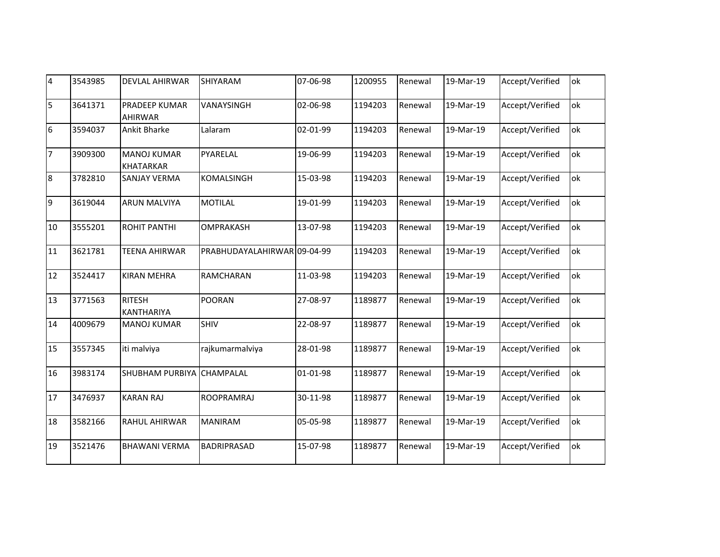| $\overline{4}$  | 3543985 | <b>DEVLAL AHIRWAR</b>                  | SHIYARAM                    | 07-06-98 | 1200955 | Renewal | 19-Mar-19 | Accept/Verified | ok |
|-----------------|---------|----------------------------------------|-----------------------------|----------|---------|---------|-----------|-----------------|----|
| 5               | 3641371 | PRADEEP KUMAR<br><b>AHIRWAR</b>        | VANAYSINGH                  | 02-06-98 | 1194203 | Renewal | 19-Mar-19 | Accept/Verified | ok |
| $6\overline{6}$ | 3594037 | Ankit Bharke                           | Lalaram                     | 02-01-99 | 1194203 | Renewal | 19-Mar-19 | Accept/Verified | ok |
| $\overline{7}$  | 3909300 | <b>MANOJ KUMAR</b><br><b>KHATARKAR</b> | PYARELAL                    | 19-06-99 | 1194203 | Renewal | 19-Mar-19 | Accept/Verified | ok |
| 8               | 3782810 | <b>SANJAY VERMA</b>                    | KOMALSINGH                  | 15-03-98 | 1194203 | Renewal | 19-Mar-19 | Accept/Verified | ok |
| $\overline{9}$  | 3619044 | <b>ARUN MALVIYA</b>                    | <b>MOTILAL</b>              | 19-01-99 | 1194203 | Renewal | 19-Mar-19 | Accept/Verified | ok |
| 10              | 3555201 | <b>ROHIT PANTHI</b>                    | OMPRAKASH                   | 13-07-98 | 1194203 | Renewal | 19-Mar-19 | Accept/Verified | оk |
| 11              | 3621781 | <b>TEENA AHIRWAR</b>                   | PRABHUDAYALAHIRWAR 09-04-99 |          | 1194203 | Renewal | 19-Mar-19 | Accept/Verified | ok |
| 12              | 3524417 | <b>KIRAN MEHRA</b>                     | <b>RAMCHARAN</b>            | 11-03-98 | 1194203 | Renewal | 19-Mar-19 | Accept/Verified | ok |
| 13              | 3771563 | <b>RITESH</b><br>KANTHARIYA            | <b>POORAN</b>               | 27-08-97 | 1189877 | Renewal | 19-Mar-19 | Accept/Verified | ok |
| 14              | 4009679 | <b>MANOJ KUMAR</b>                     | <b>SHIV</b>                 | 22-08-97 | 1189877 | Renewal | 19-Mar-19 | Accept/Verified | ok |
| 15              | 3557345 | iti malviya                            | rajkumarmalviya             | 28-01-98 | 1189877 | Renewal | 19-Mar-19 | Accept/Verified | ok |
| 16              | 3983174 | <b>SHUBHAM PURBIYA</b>                 | <b>CHAMPALAL</b>            | 01-01-98 | 1189877 | Renewal | 19-Mar-19 | Accept/Verified | ok |
| 17              | 3476937 | <b>KARAN RAJ</b>                       | <b>ROOPRAMRAJ</b>           | 30-11-98 | 1189877 | Renewal | 19-Mar-19 | Accept/Verified | ok |
| 18              | 3582166 | RAHUL AHIRWAR                          | <b>MANIRAM</b>              | 05-05-98 | 1189877 | Renewal | 19-Mar-19 | Accept/Verified | ok |
| 19              | 3521476 | <b>BHAWANI VERMA</b>                   | <b>BADRIPRASAD</b>          | 15-07-98 | 1189877 | Renewal | 19-Mar-19 | Accept/Verified | ok |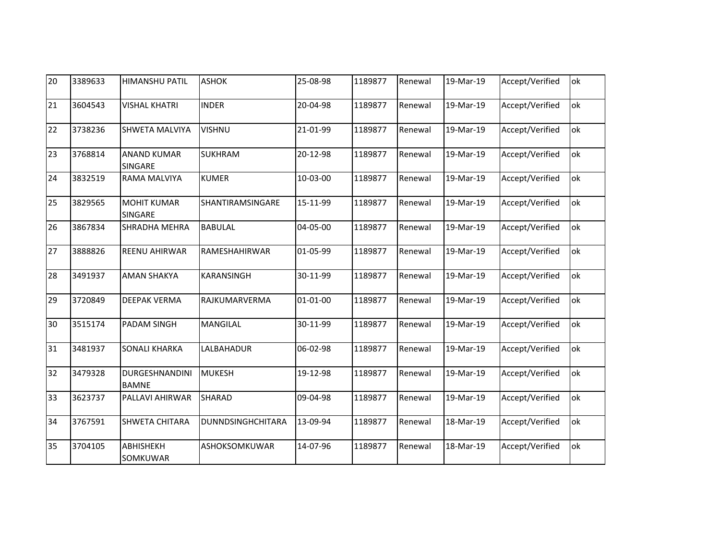| 20 | 3389633 | <b>HIMANSHU PATIL</b>          | <b>ASHOK</b>             | 25-08-98       | 1189877 | Renewal | 19-Mar-19 | Accept/Verified | ok |
|----|---------|--------------------------------|--------------------------|----------------|---------|---------|-----------|-----------------|----|
| 21 | 3604543 | <b>VISHAL KHATRI</b>           | <b>INDER</b>             | 20-04-98       | 1189877 | Renewal | 19-Mar-19 | Accept/Verified | ok |
| 22 | 3738236 | SHWETA MALVIYA                 | <b>VISHNU</b>            | 21-01-99       | 1189877 | Renewal | 19-Mar-19 | Accept/Verified | ok |
| 23 | 3768814 | <b>ANAND KUMAR</b><br>SINGARE  | <b>SUKHRAM</b>           | 20-12-98       | 1189877 | Renewal | 19-Mar-19 | Accept/Verified | ok |
| 24 | 3832519 | RAMA MALVIYA                   | <b>KUMER</b>             | 10-03-00       | 1189877 | Renewal | 19-Mar-19 | Accept/Verified | ok |
| 25 | 3829565 | <b>MOHIT KUMAR</b><br>SINGARE  | SHANTIRAMSINGARE         | 15-11-99       | 1189877 | Renewal | 19-Mar-19 | Accept/Verified | ok |
| 26 | 3867834 | SHRADHA MEHRA                  | <b>BABULAL</b>           | 04-05-00       | 1189877 | Renewal | 19-Mar-19 | Accept/Verified | ok |
| 27 | 3888826 | REENU AHIRWAR                  | RAMESHAHIRWAR            | 01-05-99       | 1189877 | Renewal | 19-Mar-19 | Accept/Verified | ok |
| 28 | 3491937 | <b>AMAN SHAKYA</b>             | KARANSINGH               | 30-11-99       | 1189877 | Renewal | 19-Mar-19 | Accept/Verified | ok |
| 29 | 3720849 | <b>DEEPAK VERMA</b>            | RAJKUMARVERMA            | $01 - 01 - 00$ | 1189877 | Renewal | 19-Mar-19 | Accept/Verified | ok |
| 30 | 3515174 | PADAM SINGH                    | <b>MANGILAL</b>          | 30-11-99       | 1189877 | Renewal | 19-Mar-19 | Accept/Verified | ok |
| 31 | 3481937 | <b>SONALI KHARKA</b>           | LALBAHADUR               | 06-02-98       | 1189877 | Renewal | 19-Mar-19 | Accept/Verified | ok |
| 32 | 3479328 | DURGESHNANDINI<br><b>BAMNE</b> | <b>MUKESH</b>            | 19-12-98       | 1189877 | Renewal | 19-Mar-19 | Accept/Verified | ok |
| 33 | 3623737 | PALLAVI AHIRWAR                | <b>SHARAD</b>            | 09-04-98       | 1189877 | Renewal | 19-Mar-19 | Accept/Verified | ok |
| 34 | 3767591 | SHWETA CHITARA                 | <b>DUNNDSINGHCHITARA</b> | 13-09-94       | 1189877 | Renewal | 18-Mar-19 | Accept/Verified | ok |
| 35 | 3704105 | ABHISHEKH<br>SOMKUWAR          | ASHOKSOMKUWAR            | 14-07-96       | 1189877 | Renewal | 18-Mar-19 | Accept/Verified | ok |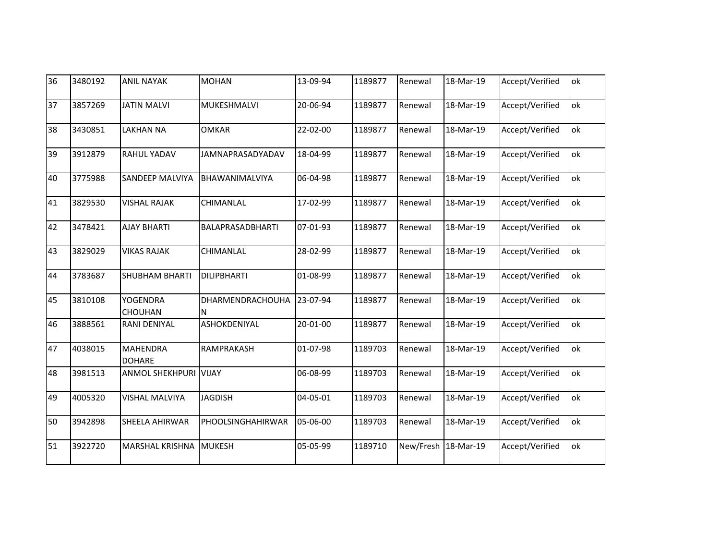| 36 | 3480192 | <b>ANIL NAYAK</b>                 | <b>MOHAN</b>            | 13-09-94 | 1189877 | Renewal   | 18-Mar-19 | Accept/Verified | ok |
|----|---------|-----------------------------------|-------------------------|----------|---------|-----------|-----------|-----------------|----|
| 37 | 3857269 | <b>JATIN MALVI</b>                | MUKESHMALVI             | 20-06-94 | 1189877 | Renewal   | 18-Mar-19 | Accept/Verified | ok |
| 38 | 3430851 | <b>LAKHAN NA</b>                  | <b>OMKAR</b>            | 22-02-00 | 1189877 | Renewal   | 18-Mar-19 | Accept/Verified | ok |
| 39 | 3912879 | <b>RAHUL YADAV</b>                | JAMNAPRASADYADAV        | 18-04-99 | 1189877 | Renewal   | 18-Mar-19 | Accept/Verified | ok |
| 40 | 3775988 | <b>SANDEEP MALVIYA</b>            | BHAWANIMALVIYA          | 06-04-98 | 1189877 | Renewal   | 18-Mar-19 | Accept/Verified | ok |
| 41 | 3829530 | <b>VISHAL RAJAK</b>               | CHIMANLAL               | 17-02-99 | 1189877 | Renewal   | 18-Mar-19 | Accept/Verified | ok |
| 42 | 3478421 | <b>AJAY BHARTI</b>                | BALAPRASADBHARTI        | 07-01-93 | 1189877 | Renewal   | 18-Mar-19 | Accept/Verified | оk |
| 43 | 3829029 | <b>VIKAS RAJAK</b>                | CHIMANLAL               | 28-02-99 | 1189877 | Renewal   | 18-Mar-19 | Accept/Verified | ok |
| 44 | 3783687 | <b>SHUBHAM BHARTI</b>             | <b>DILIPBHARTI</b>      | 01-08-99 | 1189877 | Renewal   | 18-Mar-19 | Accept/Verified | ok |
| 45 | 3810108 | <b>YOGENDRA</b><br><b>CHOUHAN</b> | DHARMENDRACHOUHA<br>IN. | 23-07-94 | 1189877 | Renewal   | 18-Mar-19 | Accept/Verified | ok |
| 46 | 3888561 | <b>RANI DENIYAL</b>               | ASHOKDENIYAL            | 20-01-00 | 1189877 | Renewal   | 18-Mar-19 | Accept/Verified | ok |
| 47 | 4038015 | <b>MAHENDRA</b><br><b>DOHARE</b>  | RAMPRAKASH              | 01-07-98 | 1189703 | Renewal   | 18-Mar-19 | Accept/Verified | ok |
| 48 | 3981513 | <b>ANMOL SHEKHPURI VIJAY</b>      |                         | 06-08-99 | 1189703 | Renewal   | 18-Mar-19 | Accept/Verified | ok |
| 49 | 4005320 | <b>VISHAL MALVIYA</b>             | <b>JAGDISH</b>          | 04-05-01 | 1189703 | Renewal   | 18-Mar-19 | Accept/Verified | ok |
| 50 | 3942898 | <b>SHEELA AHIRWAR</b>             | PHOOLSINGHAHIRWAR       | 05-06-00 | 1189703 | Renewal   | 18-Mar-19 | Accept/Verified | ok |
| 51 | 3922720 | <b>MARSHAL KRISHNA</b>            | <b>MUKESH</b>           | 05-05-99 | 1189710 | New/Fresh | 18-Mar-19 | Accept/Verified | оk |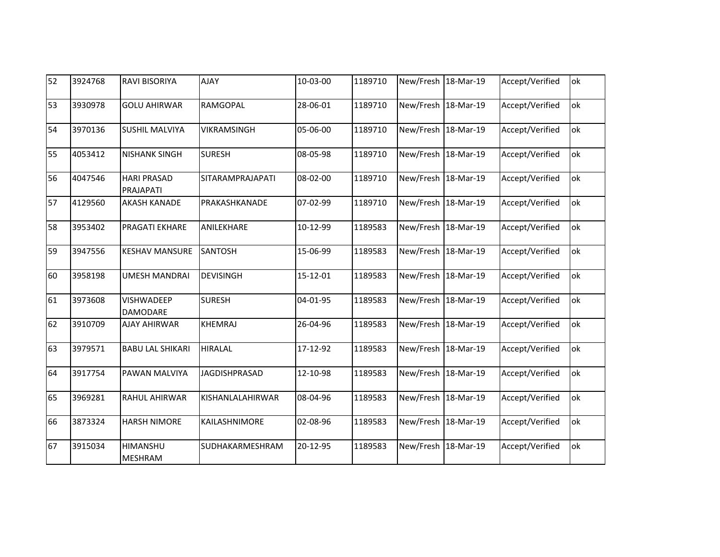| 52 | 3924768 | <b>RAVI BISORIYA</b>                 | <b>AJAY</b>             | 10-03-00 | 1189710 | New/Fresh 18-Mar-19 |           | Accept/Verified | ok |
|----|---------|--------------------------------------|-------------------------|----------|---------|---------------------|-----------|-----------------|----|
| 53 | 3930978 | <b>GOLU AHIRWAR</b>                  | RAMGOPAL                | 28-06-01 | 1189710 | New/Fresh 18-Mar-19 |           | Accept/Verified | ok |
| 54 | 3970136 | <b>SUSHIL MALVIYA</b>                | VIKRAMSINGH             | 05-06-00 | 1189710 | New/Fresh 18-Mar-19 |           | Accept/Verified | ok |
| 55 | 4053412 | <b>NISHANK SINGH</b>                 | <b>SURESH</b>           | 08-05-98 | 1189710 | New/Fresh 18-Mar-19 |           | Accept/Verified | ok |
| 56 | 4047546 | <b>HARI PRASAD</b><br>PRAJAPATI      | <b>SITARAMPRAJAPATI</b> | 08-02-00 | 1189710 | New/Fresh 18-Mar-19 |           | Accept/Verified | ok |
| 57 | 4129560 | <b>AKASH KANADE</b>                  | PRAKASHKANADE           | 07-02-99 | 1189710 | New/Fresh           | 18-Mar-19 | Accept/Verified | ok |
| 58 | 3953402 | <b>PRAGATI EKHARE</b>                | ANILEKHARE              | 10-12-99 | 1189583 | New/Fresh 18-Mar-19 |           | Accept/Verified | ok |
| 59 | 3947556 | <b>KESHAV MANSURE</b>                | <b>SANTOSH</b>          | 15-06-99 | 1189583 | New/Fresh 18-Mar-19 |           | Accept/Verified | ok |
| 60 | 3958198 | <b>UMESH MANDRAI</b>                 | <b>DEVISINGH</b>        | 15-12-01 | 1189583 | New/Fresh           | 18-Mar-19 | Accept/Verified | ok |
| 61 | 3973608 | <b>VISHWADEEP</b><br><b>DAMODARE</b> | <b>SURESH</b>           | 04-01-95 | 1189583 | New/Fresh 18-Mar-19 |           | Accept/Verified | ok |
| 62 | 3910709 | <b>AJAY AHIRWAR</b>                  | <b>KHEMRAJ</b>          | 26-04-96 | 1189583 | New/Fresh 18-Mar-19 |           | Accept/Verified | ok |
| 63 | 3979571 | <b>BABU LAL SHIKARI</b>              | <b>HIRALAL</b>          | 17-12-92 | 1189583 | New/Fresh           | 18-Mar-19 | Accept/Verified | ok |
| 64 | 3917754 | PAWAN MALVIYA                        | <b>JAGDISHPRASAD</b>    | 12-10-98 | 1189583 | New/Fresh 18-Mar-19 |           | Accept/Verified | ok |
| 65 | 3969281 | <b>RAHUL AHIRWAR</b>                 | KISHANLALAHIRWAR        | 08-04-96 | 1189583 | New/Fresh           | 18-Mar-19 | Accept/Verified | ok |
| 66 | 3873324 | <b>HARSH NIMORE</b>                  | KAILASHNIMORE           | 02-08-96 | 1189583 | New/Fresh           | 18-Mar-19 | Accept/Verified | ok |
| 67 | 3915034 | HIMANSHU<br><b>MESHRAM</b>           | SUDHAKARMESHRAM         | 20-12-95 | 1189583 | New/Fresh 18-Mar-19 |           | Accept/Verified | оk |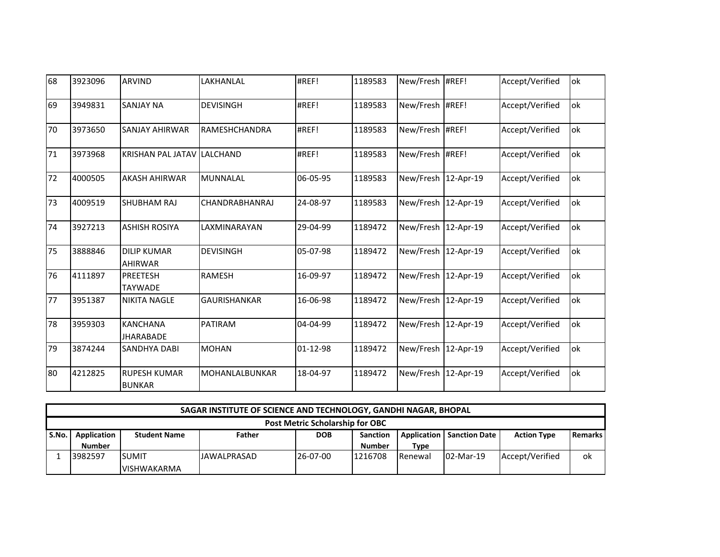| 68 | 3923096 | <b>ARVIND</b>                        | LAKHANLAL             | #REF!    | 1189583 | New/Fresh           | #REF!     | Accept/Verified | ok |
|----|---------|--------------------------------------|-----------------------|----------|---------|---------------------|-----------|-----------------|----|
| 69 | 3949831 | <b>SANJAY NA</b>                     | <b>DEVISINGH</b>      | #REF!    | 1189583 | New/Fresh #REF!     |           | Accept/Verified | ok |
| 70 | 3973650 | <b>SANJAY AHIRWAR</b>                | RAMESHCHANDRA         | #REF!    | 1189583 | New/Fresh #REF!     |           | Accept/Verified | ok |
| 71 | 3973968 | <b>KRISHAN PAL JATAV</b>             | <b>LALCHAND</b>       | #REF!    | 1189583 | New/Fresh #REF!     |           | Accept/Verified | ok |
| 72 | 4000505 | <b>AKASH AHIRWAR</b>                 | <b>MUNNALAL</b>       | 06-05-95 | 1189583 | New/Fresh           | 12-Apr-19 | Accept/Verified | ok |
| 73 | 4009519 | <b>SHUBHAM RAJ</b>                   | <b>CHANDRABHANRAJ</b> | 24-08-97 | 1189583 | New/Fresh 12-Apr-19 |           | Accept/Verified | ok |
| 74 | 3927213 | <b>ASHISH ROSIYA</b>                 | LAXMINARAYAN          | 29-04-99 | 1189472 | New/Fresh           | 12-Apr-19 | Accept/Verified | ok |
| 75 | 3888846 | <b>DILIP KUMAR</b><br><b>AHIRWAR</b> | <b>DEVISINGH</b>      | 05-07-98 | 1189472 | New/Fresh 12-Apr-19 |           | Accept/Verified | ok |
| 76 | 4111897 | <b>PREETESH</b><br><b>TAYWADE</b>    | <b>RAMESH</b>         | 16-09-97 | 1189472 | New/Fresh           | 12-Apr-19 | Accept/Verified | ok |
| 77 | 3951387 | <b>NIKITA NAGLE</b>                  | <b>GAURISHANKAR</b>   | 16-06-98 | 1189472 | New/Fresh 12-Apr-19 |           | Accept/Verified | ok |
| 78 | 3959303 | <b>KANCHANA</b><br><b>JHARABADE</b>  | PATIRAM               | 04-04-99 | 1189472 | New/Fresh           | 12-Apr-19 | Accept/Verified | ok |
| 79 | 3874244 | <b>SANDHYA DABI</b>                  | <b>MOHAN</b>          | 01-12-98 | 1189472 | New/Fresh 12-Apr-19 |           | Accept/Verified | ok |
| 80 | 4212825 | <b>RUPESH KUMAR</b><br><b>BUNKAR</b> | <b>MOHANLALBUNKAR</b> | 18-04-97 | 1189472 | New/Fresh           | 12-Apr-19 | Accept/Verified | ok |

|       | SAGAR INSTITUTE OF SCIENCE AND TECHNOLOGY, GANDHI NAGAR, BHOPAL |                     |                    |            |                 |                |                                    |                    |             |  |  |  |
|-------|-----------------------------------------------------------------|---------------------|--------------------|------------|-----------------|----------------|------------------------------------|--------------------|-------------|--|--|--|
|       | <b>Post Metric Scholarship for OBC</b>                          |                     |                    |            |                 |                |                                    |                    |             |  |  |  |
| S.No. | Application                                                     | <b>Student Name</b> | Father             | <b>DOB</b> | <b>Sanction</b> |                | <b>Application   Sanction Date</b> | <b>Action Type</b> | l Remarks l |  |  |  |
|       | <b>Number</b>                                                   |                     |                    |            | <b>Number</b>   | <b>Type</b>    |                                    |                    |             |  |  |  |
|       | 3982597                                                         | <b>ISUMIT</b>       | <b>JAWALPRASAD</b> | 26-07-00   | 1216708         | <b>Renewal</b> | 02-Mar-19                          | Accept/Verified    | ok          |  |  |  |
|       |                                                                 | <b>VISHWAKARMA</b>  |                    |            |                 |                |                                    |                    |             |  |  |  |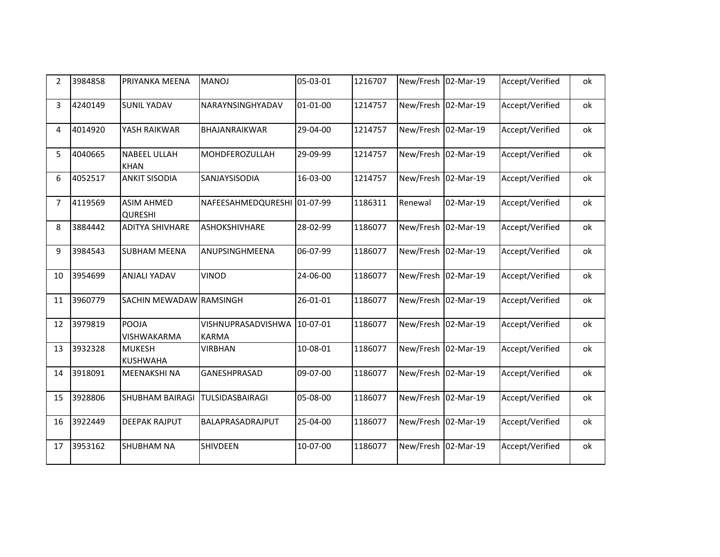| $\overline{2}$ | 3984858 | PRIYANKA MEENA                      | <b>LONAM</b>                       | 05-03-01 | 1216707 | New/Fresh 02-Mar-19 |           | Accept/Verified | ok |
|----------------|---------|-------------------------------------|------------------------------------|----------|---------|---------------------|-----------|-----------------|----|
| 3              | 4240149 | <b>SUNIL YADAV</b>                  | NARAYNSINGHYADAV                   | 01-01-00 | 1214757 | New/Fresh 02-Mar-19 |           | Accept/Verified | ok |
| 4              | 4014920 | YASH RAIKWAR                        | BHAJANRAIKWAR                      | 29-04-00 | 1214757 | New/Fresh 02-Mar-19 |           | Accept/Verified | ok |
| 5              | 4040665 | <b>NABEEL ULLAH</b><br><b>KHAN</b>  | <b>MOHDFEROZULLAH</b>              | 29-09-99 | 1214757 | New/Fresh           | 02-Mar-19 | Accept/Verified | ok |
| 6              | 4052517 | <b>ANKIT SISODIA</b>                | SANJAYSISODIA                      | 16-03-00 | 1214757 | New/Fresh           | 02-Mar-19 | Accept/Verified | ok |
| $\overline{7}$ | 4119569 | <b>ASIM AHMED</b><br><b>QURESHI</b> | NAFEESAHMEDQURESHI 01-07-99        |          | 1186311 | Renewal             | 02-Mar-19 | Accept/Verified | ok |
| 8              | 3884442 | <b>ADITYA SHIVHARE</b>              | ASHOKSHIVHARE                      | 28-02-99 | 1186077 | New/Fresh 02-Mar-19 |           | Accept/Verified | ok |
| 9              | 3984543 | <b>SUBHAM MEENA</b>                 | ANUPSINGHMEENA                     | 06-07-99 | 1186077 | New/Fresh           | 02-Mar-19 | Accept/Verified | ok |
| 10             | 3954699 | ANJALI YADAV                        | <b>VINOD</b>                       | 24-06-00 | 1186077 | New/Fresh           | 02-Mar-19 | Accept/Verified | ok |
| 11             | 3960779 | SACHIN MEWADAW RAMSINGH             |                                    | 26-01-01 | 1186077 | New/Fresh 02-Mar-19 |           | Accept/Verified | ok |
| 12             | 3979819 | POOJA<br>VISHWAKARMA                | VISHNUPRASADVISHWA<br><b>KARMA</b> | 10-07-01 | 1186077 | New/Fresh           | 02-Mar-19 | Accept/Verified | ok |
| 13             | 3932328 | <b>MUKESH</b><br><b>KUSHWAHA</b>    | <b>VIRBHAN</b>                     | 10-08-01 | 1186077 | New/Fresh 02-Mar-19 |           | Accept/Verified | ok |
| 14             | 3918091 | <b>MEENAKSHI NA</b>                 | <b>GANESHPRASAD</b>                | 09-07-00 | 1186077 | New/Fresh 02-Mar-19 |           | Accept/Verified | ok |
| 15             | 3928806 | <b>SHUBHAM BAIRAGI</b>              | <b>TULSIDASBAIRAGI</b>             | 05-08-00 | 1186077 | New/Fresh           | 02-Mar-19 | Accept/Verified | ok |
| 16             | 3922449 | <b>DEEPAK RAJPUT</b>                | BALAPRASADRAJPUT                   | 25-04-00 | 1186077 | New/Fresh           | 02-Mar-19 | Accept/Verified | ok |
| 17             | 3953162 | <b>SHUBHAM NA</b>                   | SHIVDEEN                           | 10-07-00 | 1186077 | New/Fresh           | 02-Mar-19 | Accept/Verified | ok |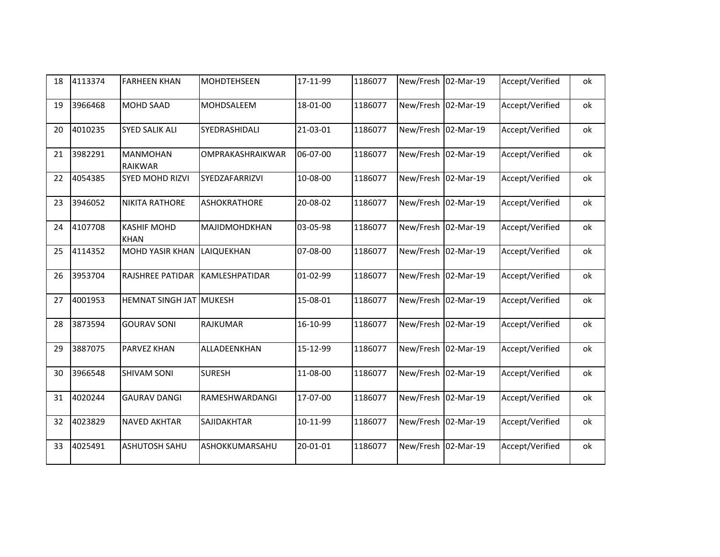| 18 | 4113374 | <b>FARHEEN KHAN</b>               | MOHDTEHSEEN           | 17-11-99 | 1186077 | New/Fresh 02-Mar-19 |           | Accept/Verified | ok |
|----|---------|-----------------------------------|-----------------------|----------|---------|---------------------|-----------|-----------------|----|
| 19 | 3966468 | <b>MOHD SAAD</b>                  | MOHDSALEEM            | 18-01-00 | 1186077 | New/Fresh           | 02-Mar-19 | Accept/Verified | ok |
| 20 | 4010235 | <b>SYED SALIK ALI</b>             | SYEDRASHIDALI         | 21-03-01 | 1186077 | New/Fresh           | 02-Mar-19 | Accept/Verified | ok |
| 21 | 3982291 | <b>MANMOHAN</b><br><b>RAIKWAR</b> | OMPRAKASHRAIKWAR      | 06-07-00 | 1186077 | New/Fresh 02-Mar-19 |           | Accept/Verified | ok |
| 22 | 4054385 | <b>SYED MOHD RIZVI</b>            | <b>SYEDZAFARRIZVI</b> | 10-08-00 | 1186077 | New/Fresh           | 02-Mar-19 | Accept/Verified | ok |
| 23 | 3946052 | <b>NIKITA RATHORE</b>             | ASHOKRATHORE          | 20-08-02 | 1186077 | New/Fresh           | 02-Mar-19 | Accept/Verified | ok |
| 24 | 4107708 | <b>KASHIF MOHD</b><br><b>KHAN</b> | MAJIDMOHDKHAN         | 03-05-98 | 1186077 | New/Fresh 02-Mar-19 |           | Accept/Verified | ok |
| 25 | 4114352 | <b>MOHD YASIR KHAN</b>            | LAIQUEKHAN            | 07-08-00 | 1186077 | New/Fresh           | 02-Mar-19 | Accept/Verified | ok |
| 26 | 3953704 | <b>RAJSHREE PATIDAR</b>           | KAMLESHPATIDAR        | 01-02-99 | 1186077 | New/Fresh           | 02-Mar-19 | Accept/Verified | ok |
| 27 | 4001953 | <b>HEMNAT SINGH JAT MUKESH</b>    |                       | 15-08-01 | 1186077 | New/Fresh 02-Mar-19 |           | Accept/Verified | ok |
| 28 | 3873594 | <b>GOURAV SONI</b>                | <b>RAJKUMAR</b>       | 16-10-99 | 1186077 | New/Fresh           | 02-Mar-19 | Accept/Verified | ok |
| 29 | 3887075 | <b>PARVEZ KHAN</b>                | ALLADEENKHAN          | 15-12-99 | 1186077 | New/Fresh           | 02-Mar-19 | Accept/Verified | ok |
| 30 | 3966548 | <b>SHIVAM SONI</b>                | <b>SURESH</b>         | 11-08-00 | 1186077 | New/Fresh 02-Mar-19 |           | Accept/Verified | ok |
| 31 | 4020244 | <b>GAURAV DANGI</b>               | RAMESHWARDANGI        | 17-07-00 | 1186077 | New/Fresh           | 02-Mar-19 | Accept/Verified | ok |
| 32 | 4023829 | <b>NAVED AKHTAR</b>               | SAJIDAKHTAR           | 10-11-99 | 1186077 | New/Fresh           | 02-Mar-19 | Accept/Verified | ok |
| 33 | 4025491 | <b>ASHUTOSH SAHU</b>              | ASHOKKUMARSAHU        | 20-01-01 | 1186077 | New/Fresh 02-Mar-19 |           | Accept/Verified | ok |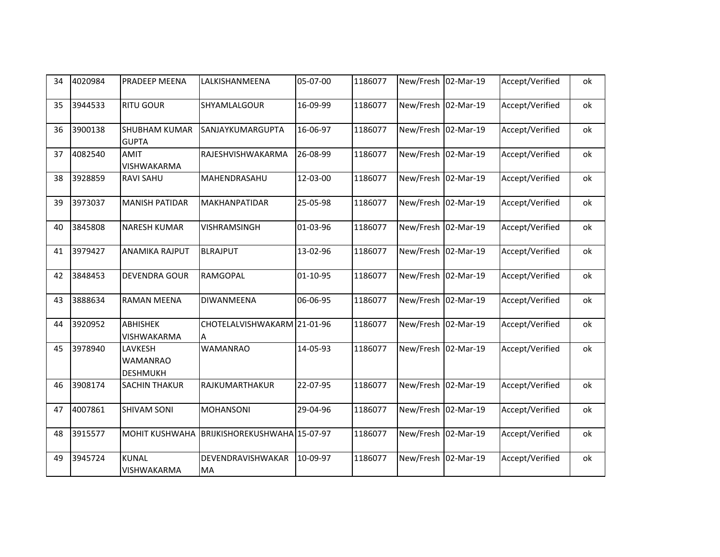| 34 | 4020984 | <b>PRADEEP MEENA</b>                          | LALKISHANMEENA                   | 05-07-00 | 1186077 | New/Fresh 02-Mar-19 |           | Accept/Verified | оk |
|----|---------|-----------------------------------------------|----------------------------------|----------|---------|---------------------|-----------|-----------------|----|
| 35 | 3944533 | <b>RITU GOUR</b>                              | SHYAMLALGOUR                     | 16-09-99 | 1186077 | New/Fresh 02-Mar-19 |           | Accept/Verified | ok |
| 36 | 3900138 | <b>SHUBHAM KUMAR</b><br><b>GUPTA</b>          | <b>SANJAYKUMARGUPTA</b>          | 16-06-97 | 1186077 | New/Fresh           | 02-Mar-19 | Accept/Verified | ok |
| 37 | 4082540 | <b>AMIT</b><br>VISHWAKARMA                    | RAJESHVISHWAKARMA                | 26-08-99 | 1186077 | New/Fresh 02-Mar-19 |           | Accept/Verified | ok |
| 38 | 3928859 | <b>RAVI SAHU</b>                              | MAHENDRASAHU                     | 12-03-00 | 1186077 | New/Fresh           | 02-Mar-19 | Accept/Verified | оk |
| 39 | 3973037 | <b>MANISH PATIDAR</b>                         | <b>MAKHANPATIDAR</b>             | 25-05-98 | 1186077 | New/Fresh 02-Mar-19 |           | Accept/Verified | оk |
| 40 | 3845808 | <b>NARESH KUMAR</b>                           | VISHRAMSINGH                     | 01-03-96 | 1186077 | New/Fresh           | 02-Mar-19 | Accept/Verified | оk |
| 41 | 3979427 | ANAMIKA RAJPUT                                | <b>BLRAJPUT</b>                  | 13-02-96 | 1186077 | New/Fresh 02-Mar-19 |           | Accept/Verified | ok |
| 42 | 3848453 | <b>DEVENDRA GOUR</b>                          | <b>RAMGOPAL</b>                  | 01-10-95 | 1186077 | New/Fresh           | 02-Mar-19 | Accept/Verified | оk |
| 43 | 3888634 | <b>RAMAN MEENA</b>                            | DIWANMEENA                       | 06-06-95 | 1186077 | New/Fresh           | 02-Mar-19 | Accept/Verified | ok |
| 44 | 3920952 | <b>ABHISHEK</b><br>VISHWAKARMA                | CHOTELALVISHWAKARM 21-01-96<br>A |          | 1186077 | New/Fresh           | 02-Mar-19 | Accept/Verified | ok |
| 45 | 3978940 | LAVKESH<br><b>WAMANRAO</b><br><b>DESHMUKH</b> | <b>WAMANRAO</b>                  | 14-05-93 | 1186077 | New/Fresh 02-Mar-19 |           | Accept/Verified | ok |
| 46 | 3908174 | <b>SACHIN THAKUR</b>                          | RAJKUMARTHAKUR                   | 22-07-95 | 1186077 | New/Fresh 02-Mar-19 |           | Accept/Verified | ok |
| 47 | 4007861 | <b>SHIVAM SONI</b>                            | <b>MOHANSONI</b>                 | 29-04-96 | 1186077 | New/Fresh           | 02-Mar-19 | Accept/Verified | оk |
| 48 | 3915577 | <b>MOHIT KUSHWAHA</b>                         | BRIJKISHOREKUSHWAHA 15-07-97     |          | 1186077 | New/Fresh 02-Mar-19 |           | Accept/Verified | оk |
| 49 | 3945724 | <b>KUNAL</b><br>VISHWAKARMA                   | DEVENDRAVISHWAKAR<br>MA          | 10-09-97 | 1186077 | New/Fresh           | 02-Mar-19 | Accept/Verified | ok |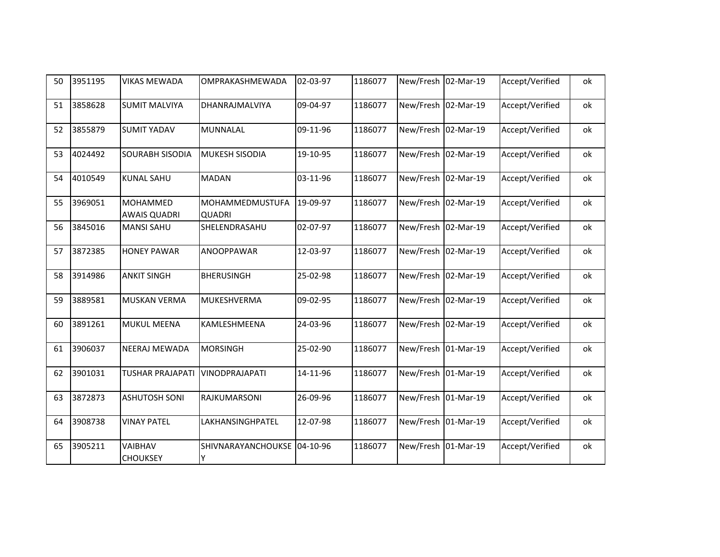| 50 | 3951195 | <b>VIKAS MEWADA</b>                    | OMPRAKASHMEWADA                  | 02-03-97 | 1186077 | New/Fresh 02-Mar-19 |           | Accept/Verified | ok |
|----|---------|----------------------------------------|----------------------------------|----------|---------|---------------------|-----------|-----------------|----|
| 51 | 3858628 | <b>SUMIT MALVIYA</b>                   | DHANRAJMALVIYA                   | 09-04-97 | 1186077 | New/Fresh           | 02-Mar-19 | Accept/Verified | ok |
| 52 | 3855879 | <b>SUMIT YADAV</b>                     | MUNNALAL                         | 09-11-96 | 1186077 | New/Fresh           | 02-Mar-19 | Accept/Verified | ok |
| 53 | 4024492 | <b>SOURABH SISODIA</b>                 | MUKESH SISODIA                   | 19-10-95 | 1186077 | New/Fresh 02-Mar-19 |           | Accept/Verified | ok |
| 54 | 4010549 | <b>KUNAL SAHU</b>                      | <b>MADAN</b>                     | 03-11-96 | 1186077 | New/Fresh           | 02-Mar-19 | Accept/Verified | ok |
| 55 | 3969051 | <b>MOHAMMED</b><br><b>AWAIS QUADRI</b> | MOHAMMEDMUSTUFA<br><b>QUADRI</b> | 19-09-97 | 1186077 | New/Fresh           | 02-Mar-19 | Accept/Verified | ok |
| 56 | 3845016 | <b>MANSI SAHU</b>                      | SHELENDRASAHU                    | 02-07-97 | 1186077 | New/Fresh 02-Mar-19 |           | Accept/Verified | ok |
| 57 | 3872385 | <b>HONEY PAWAR</b>                     | <b>ANOOPPAWAR</b>                | 12-03-97 | 1186077 | New/Fresh           | 02-Mar-19 | Accept/Verified | ok |
| 58 | 3914986 | <b>ANKIT SINGH</b>                     | <b>BHERUSINGH</b>                | 25-02-98 | 1186077 | New/Fresh           | 02-Mar-19 | Accept/Verified | ok |
| 59 | 3889581 | <b>MUSKAN VERMA</b>                    | MUKESHVERMA                      | 09-02-95 | 1186077 | New/Fresh 02-Mar-19 |           | Accept/Verified | ok |
| 60 | 3891261 | <b>MUKUL MEENA</b>                     | KAMLESHMEENA                     | 24-03-96 | 1186077 | New/Fresh           | 02-Mar-19 | Accept/Verified | ok |
| 61 | 3906037 | <b>NEERAJ MEWADA</b>                   | <b>MORSINGH</b>                  | 25-02-90 | 1186077 | New/Fresh           | 01-Mar-19 | Accept/Verified | ok |
| 62 | 3901031 | <b>TUSHAR PRAJAPATI</b>                | VINODPRAJAPATI                   | 14-11-96 | 1186077 | New/Fresh 01-Mar-19 |           | Accept/Verified | ok |
| 63 | 3872873 | <b>ASHUTOSH SONI</b>                   | RAJKUMARSONI                     | 26-09-96 | 1186077 | New/Fresh           | 01-Mar-19 | Accept/Verified | ok |
| 64 | 3908738 | <b>VINAY PATEL</b>                     | LAKHANSINGHPATEL                 | 12-07-98 | 1186077 | New/Fresh           | 01-Mar-19 | Accept/Verified | ok |
| 65 | 3905211 | VAIBHAV<br><b>CHOUKSEY</b>             | SHIVNARAYANCHOUKSE 04-10-96<br>Y |          | 1186077 | New/Fresh 01-Mar-19 |           | Accept/Verified | ok |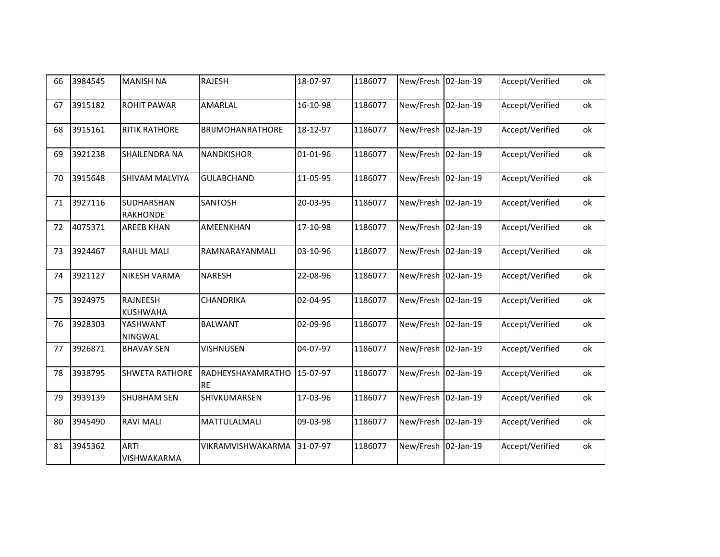| 66 | 3984545 | <b>MANISH NA</b>                     | <b>RAJESH</b>                  | 18-07-97 | 1186077 | New/Fresh 02-Jan-19 |           | Accept/Verified | ok |
|----|---------|--------------------------------------|--------------------------------|----------|---------|---------------------|-----------|-----------------|----|
| 67 | 3915182 | <b>ROHIT PAWAR</b>                   | AMARLAL                        | 16-10-98 | 1186077 | New/Fresh 02-Jan-19 |           | Accept/Verified | ok |
| 68 | 3915161 | <b>RITIK RATHORE</b>                 | <b>BRIJMOHANRATHORE</b>        | 18-12-97 | 1186077 | New/Fresh 02-Jan-19 |           | Accept/Verified | ok |
| 69 | 3921238 | <b>SHAILENDRA NA</b>                 | <b>NANDKISHOR</b>              | 01-01-96 | 1186077 | New/Fresh           | 02-Jan-19 | Accept/Verified | ok |
| 70 | 3915648 | <b>SHIVAM MALVIYA</b>                | <b>GULABCHAND</b>              | 11-05-95 | 1186077 | New/Fresh           | 02-Jan-19 | Accept/Verified | ok |
| 71 | 3927116 | <b>SUDHARSHAN</b><br><b>RAKHONDE</b> | SANTOSH                        | 20-03-95 | 1186077 | New/Fresh 02-Jan-19 |           | Accept/Verified | ok |
| 72 | 4075371 | <b>AREEB KHAN</b>                    | <b>AMEENKHAN</b>               | 17-10-98 | 1186077 | New/Fresh           | 02-Jan-19 | Accept/Verified | ok |
| 73 | 3924467 | <b>RAHUL MALI</b>                    | RAMNARAYANMALI                 | 03-10-96 | 1186077 | New/Fresh           | 02-Jan-19 | Accept/Verified | ok |
| 74 | 3921127 | <b>NIKESH VARMA</b>                  | <b>NARESH</b>                  | 22-08-96 | 1186077 | New/Fresh           | 02-Jan-19 | Accept/Verified | ok |
| 75 | 3924975 | <b>RAJNEESH</b><br><b>KUSHWAHA</b>   | CHANDRIKA                      | 02-04-95 | 1186077 | New/Fresh 02-Jan-19 |           | Accept/Verified | ok |
| 76 | 3928303 | YASHWANT<br><b>NINGWAL</b>           | <b>BALWANT</b>                 | 02-09-96 | 1186077 | New/Fresh           | 02-Jan-19 | Accept/Verified | ok |
| 77 | 3926871 | <b>BHAVAY SEN</b>                    | VISHNUSEN                      | 04-07-97 | 1186077 | New/Fresh           | 02-Jan-19 | Accept/Verified | ok |
| 78 | 3938795 | <b>SHWETA RATHORE</b>                | RADHEYSHAYAMRATHO<br><b>RE</b> | 15-07-97 | 1186077 | New/Fresh 02-Jan-19 |           | Accept/Verified | ok |
| 79 | 3939139 | <b>SHUBHAM SEN</b>                   | SHIVKUMARSEN                   | 17-03-96 | 1186077 | New/Fresh           | 02-Jan-19 | Accept/Verified | ok |
| 80 | 3945490 | <b>RAVI MALI</b>                     | MATTULALMALI                   | 09-03-98 | 1186077 | New/Fresh           | 02-Jan-19 | Accept/Verified | ok |
| 81 | 3945362 | <b>ARTI</b><br>VISHWAKARMA           | VIKRAMVISHWAKARMA              | 31-07-97 | 1186077 | New/Fresh 02-Jan-19 |           | Accept/Verified | ok |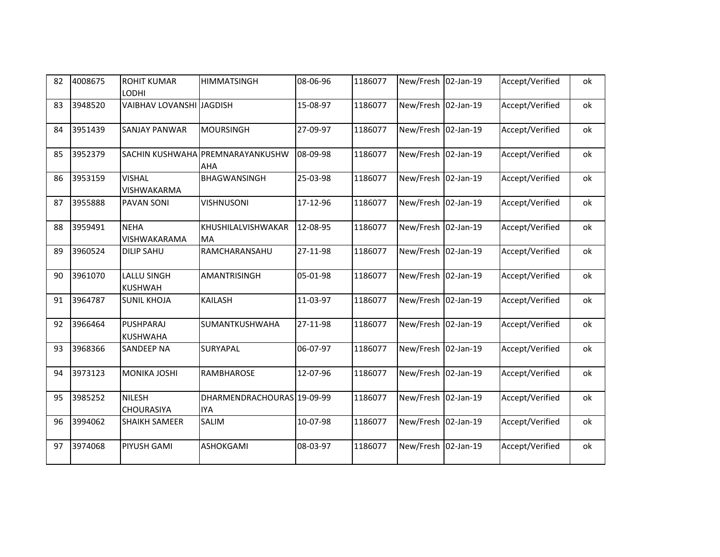| 82 | 4008675 | <b>ROHIT KUMAR</b><br><b>LODHI</b>   | <b>HIMMATSINGH</b>                       | 08-06-96 | 1186077 | New/Fresh 02-Jan-19 |           | Accept/Verified | ok |
|----|---------|--------------------------------------|------------------------------------------|----------|---------|---------------------|-----------|-----------------|----|
| 83 | 3948520 | <b>VAIBHAV LOVANSHI JAGDISH</b>      |                                          | 15-08-97 | 1186077 | New/Fresh 02-Jan-19 |           | Accept/Verified | ok |
| 84 | 3951439 | <b>SANJAY PANWAR</b>                 | <b>MOURSINGH</b>                         | 27-09-97 | 1186077 | New/Fresh 02-Jan-19 |           | Accept/Verified | ok |
| 85 | 3952379 |                                      | SACHIN KUSHWAHA PREMNARAYANKUSHW<br>AHA  | 08-09-98 | 1186077 | New/Fresh           | 02-Jan-19 | Accept/Verified | ok |
| 86 | 3953159 | <b>VISHAL</b><br>VISHWAKARMA         | BHAGWANSINGH                             | 25-03-98 | 1186077 | New/Fresh           | 02-Jan-19 | Accept/Verified | ok |
| 87 | 3955888 | PAVAN SONI                           | <b>VISHNUSONI</b>                        | 17-12-96 | 1186077 | New/Fresh 02-Jan-19 |           | Accept/Verified | ok |
| 88 | 3959491 | <b>NEHA</b><br>VISHWAKARAMA          | KHUSHILALVISHWAKAR<br><b>MA</b>          | 12-08-95 | 1186077 | New/Fresh 02-Jan-19 |           | Accept/Verified | ok |
| 89 | 3960524 | <b>DILIP SAHU</b>                    | RAMCHARANSAHU                            | 27-11-98 | 1186077 | New/Fresh           | 02-Jan-19 | Accept/Verified | ok |
| 90 | 3961070 | <b>LALLU SINGH</b><br><b>KUSHWAH</b> | AMANTRISINGH                             | 05-01-98 | 1186077 | New/Fresh           | 02-Jan-19 | Accept/Verified | ok |
| 91 | 3964787 | <b>SUNIL KHOJA</b>                   | <b>KAILASH</b>                           | 11-03-97 | 1186077 | New/Fresh 02-Jan-19 |           | Accept/Verified | ok |
| 92 | 3966464 | PUSHPARAJ<br><b>KUSHWAHA</b>         | SUMANTKUSHWAHA                           | 27-11-98 | 1186077 | New/Fresh           | 02-Jan-19 | Accept/Verified | ok |
| 93 | 3968366 | <b>SANDEEP NA</b>                    | SURYAPAL                                 | 06-07-97 | 1186077 | New/Fresh 02-Jan-19 |           | Accept/Verified | ok |
| 94 | 3973123 | <b>MONIKA JOSHI</b>                  | RAMBHAROSE                               | 12-07-96 | 1186077 | New/Fresh 02-Jan-19 |           | Accept/Verified | ok |
| 95 | 3985252 | <b>NILESH</b><br><b>CHOURASIYA</b>   | DHARMENDRACHOURAS 19-09-99<br><b>IYA</b> |          | 1186077 | New/Fresh           | 02-Jan-19 | Accept/Verified | ok |
| 96 | 3994062 | <b>SHAIKH SAMEER</b>                 | SALIM                                    | 10-07-98 | 1186077 | New/Fresh 02-Jan-19 |           | Accept/Verified | ok |
| 97 | 3974068 | PIYUSH GAMI                          | ASHOKGAMI                                | 08-03-97 | 1186077 | New/Fresh 02-Jan-19 |           | Accept/Verified | ok |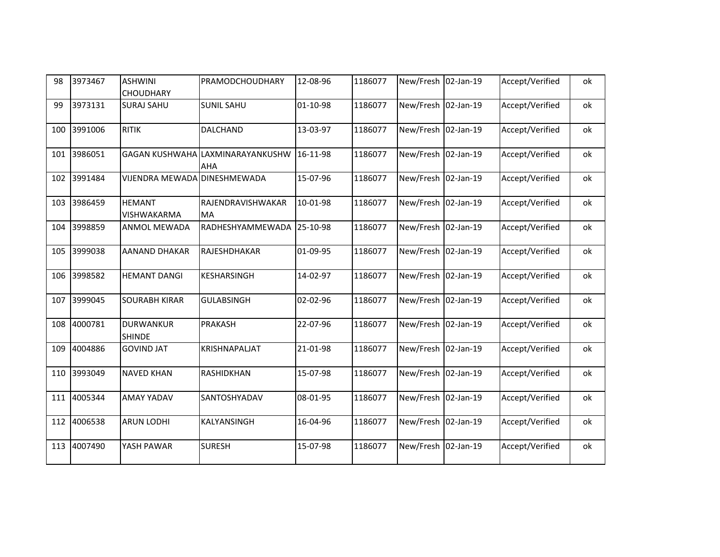| 98  | 3973467 | <b>ASHWINI</b><br><b>CHOUDHARY</b>  | <b>PRAMODCHOUDHARY</b>                  | 12-08-96 | 1186077 | New/Fresh 02-Jan-19 |           | Accept/Verified | ok |
|-----|---------|-------------------------------------|-----------------------------------------|----------|---------|---------------------|-----------|-----------------|----|
| 99  | 3973131 | <b>SURAJ SAHU</b>                   | <b>SUNIL SAHU</b>                       | 01-10-98 | 1186077 | New/Fresh           | 02-Jan-19 | Accept/Verified | ok |
| 100 | 3991006 | <b>RITIK</b>                        | DALCHAND                                | 13-03-97 | 1186077 | New/Fresh 02-Jan-19 |           | Accept/Verified | ok |
| 101 | 3986051 |                                     | GAGAN KUSHWAHA LAXMINARAYANKUSHW<br>AHA | 16-11-98 | 1186077 | New/Fresh 02-Jan-19 |           | Accept/Verified | ok |
| 102 | 3991484 | VIJENDRA MEWADA DINESHMEWADA        |                                         | 15-07-96 | 1186077 | New/Fresh           | 02-Jan-19 | Accept/Verified | ok |
| 103 | 3986459 | <b>HEMANT</b><br><b>VISHWAKARMA</b> | RAJENDRAVISHWAKAR<br><b>MA</b>          | 10-01-98 | 1186077 | New/Fresh           | 02-Jan-19 | Accept/Verified | ok |
| 104 | 3998859 | <b>ANMOL MEWADA</b>                 | RADHESHYAMMEWADA                        | 25-10-98 | 1186077 | New/Fresh 02-Jan-19 |           | Accept/Verified | ok |
| 105 | 3999038 | <b>AANAND DHAKAR</b>                | RAJESHDHAKAR                            | 01-09-95 | 1186077 | New/Fresh           | 02-Jan-19 | Accept/Verified | ok |
| 106 | 3998582 | <b>HEMANT DANGI</b>                 | KESHARSINGH                             | 14-02-97 | 1186077 | New/Fresh           | 02-Jan-19 | Accept/Verified | ok |
| 107 | 3999045 | <b>SOURABH KIRAR</b>                | <b>GULABSINGH</b>                       | 02-02-96 | 1186077 | New/Fresh 02-Jan-19 |           | Accept/Verified | ok |
| 108 | 4000781 | <b>DURWANKUR</b><br><b>SHINDE</b>   | PRAKASH                                 | 22-07-96 | 1186077 | New/Fresh           | 02-Jan-19 | Accept/Verified | ok |
| 109 | 4004886 | <b>GOVIND JAT</b>                   | KRISHNAPALJAT                           | 21-01-98 | 1186077 | New/Fresh           | 02-Jan-19 | Accept/Verified | ok |
| 110 | 3993049 | <b>NAVED KHAN</b>                   | RASHIDKHAN                              | 15-07-98 | 1186077 | New/Fresh 02-Jan-19 |           | Accept/Verified | ok |
| 111 | 4005344 | <b>AMAY YADAV</b>                   | SANTOSHYADAV                            | 08-01-95 | 1186077 | New/Fresh           | 02-Jan-19 | Accept/Verified | ok |
| 112 | 4006538 | <b>ARUN LODHI</b>                   | KALYANSINGH                             | 16-04-96 | 1186077 | New/Fresh           | 02-Jan-19 | Accept/Verified | ok |
| 113 | 4007490 | YASH PAWAR                          | <b>SURESH</b>                           | 15-07-98 | 1186077 | New/Fresh 02-Jan-19 |           | Accept/Verified | ok |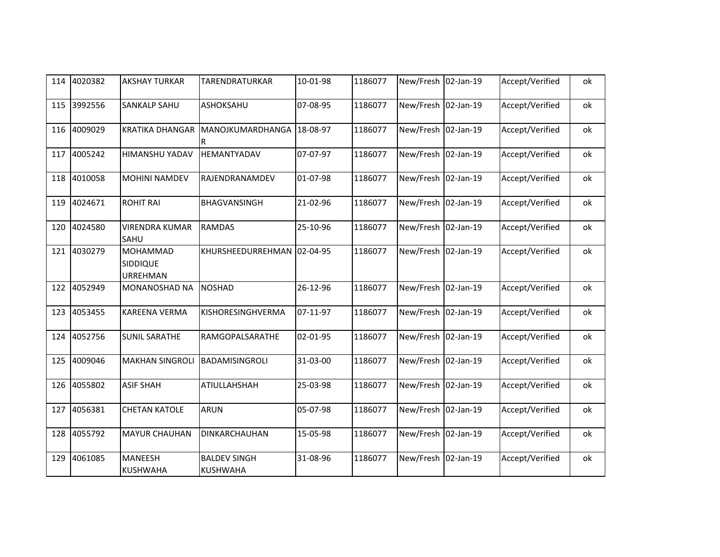| 114 | 4020382 | <b>AKSHAY TURKAR</b>                    | TARENDRATURKAR                  | 10-01-98 | 1186077 | New/Fresh 02-Jan-19 |           | Accept/Verified | ok |
|-----|---------|-----------------------------------------|---------------------------------|----------|---------|---------------------|-----------|-----------------|----|
| 115 | 3992556 | <b>SANKALP SAHU</b>                     | ASHOKSAHU                       | 07-08-95 | 1186077 | New/Fresh 02-Jan-19 |           | Accept/Verified | ok |
| 116 | 4009029 | <b>KRATIKA DHANGAR</b>                  | MANOJKUMARDHANGA<br>R           | 18-08-97 | 1186077 | New/Fresh 02-Jan-19 |           | Accept/Verified | ok |
| 117 | 4005242 | HIMANSHU YADAV                          | HEMANTYADAV                     | 07-07-97 | 1186077 | New/Fresh 02-Jan-19 |           | Accept/Verified | ok |
| 118 | 4010058 | <b>MOHINI NAMDEV</b>                    | RAJENDRANAMDEV                  | 01-07-98 | 1186077 | New/Fresh 02-Jan-19 |           | Accept/Verified | ok |
| 119 | 4024671 | <b>ROHIT RAI</b>                        | <b>BHAGVANSINGH</b>             | 21-02-96 | 1186077 | New/Fresh 02-Jan-19 |           | Accept/Verified | ok |
| 120 | 4024580 | <b>VIRENDRA KUMAR</b><br><b>SAHU</b>    | <b>RAMDAS</b>                   | 25-10-96 | 1186077 | New/Fresh           | 02-Jan-19 | Accept/Verified | ok |
| 121 | 4030279 | <b>MOHAMMAD</b><br>SIDDIQUE<br>URREHMAN | KHURSHEEDURREHMAN 02-04-95      |          | 1186077 | New/Fresh 02-Jan-19 |           | Accept/Verified | ok |
| 122 | 4052949 | <b>MONANOSHAD NA</b>                    | <b>NOSHAD</b>                   | 26-12-96 | 1186077 | New/Fresh 02-Jan-19 |           | Accept/Verified | ok |
| 123 | 4053455 | <b>KAREENA VERMA</b>                    | KISHORESINGHVERMA               | 07-11-97 | 1186077 | New/Fresh 02-Jan-19 |           | Accept/Verified | ok |
| 124 | 4052756 | <b>SUNIL SARATHE</b>                    | RAMGOPALSARATHE                 | 02-01-95 | 1186077 | New/Fresh 02-Jan-19 |           | Accept/Verified | ok |
| 125 | 4009046 | <b>MAKHAN SINGROLI</b>                  | BADAMISINGROLI                  | 31-03-00 | 1186077 | New/Fresh 02-Jan-19 |           | Accept/Verified | ok |
| 126 | 4055802 | <b>ASIF SHAH</b>                        | ATIULLAHSHAH                    | 25-03-98 | 1186077 | New/Fresh 02-Jan-19 |           | Accept/Verified | ok |
| 127 | 4056381 | <b>CHETAN KATOLE</b>                    | ARUN                            | 05-07-98 | 1186077 | New/Fresh           | 02-Jan-19 | Accept/Verified | ok |
| 128 | 4055792 | <b>MAYUR CHAUHAN</b>                    | DINKARCHAUHAN                   | 15-05-98 | 1186077 | New/Fresh 02-Jan-19 |           | Accept/Verified | ok |
| 129 | 4061085 | <b>MANEESH</b><br><b>KUSHWAHA</b>       | <b>BALDEV SINGH</b><br>KUSHWAHA | 31-08-96 | 1186077 | New/Fresh           | 02-Jan-19 | Accept/Verified | ok |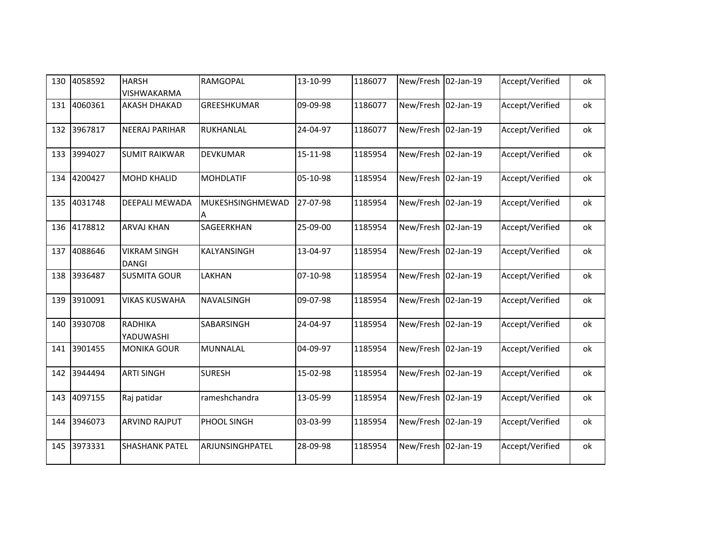| 130 | 4058592 | <b>HARSH</b><br>VISHWAKARMA         | RAMGOPAL              | 13-10-99 | 1186077 | New/Fresh 02-Jan-19 |           | Accept/Verified | ok |
|-----|---------|-------------------------------------|-----------------------|----------|---------|---------------------|-----------|-----------------|----|
| 131 | 4060361 | <b>AKASH DHAKAD</b>                 | GREESHKUMAR           | 09-09-98 | 1186077 | New/Fresh 02-Jan-19 |           | Accept/Verified | ok |
| 132 | 3967817 | <b>NEERAJ PARIHAR</b>               | RUKHANLAL             | 24-04-97 | 1186077 | New/Fresh 02-Jan-19 |           | Accept/Verified | ok |
| 133 | 3994027 | <b>SUMIT RAIKWAR</b>                | DEVKUMAR              | 15-11-98 | 1185954 | New/Fresh           | 02-Jan-19 | Accept/Verified | ok |
| 134 | 4200427 | <b>MOHD KHALID</b>                  | <b>MOHDLATIF</b>      | 05-10-98 | 1185954 | New/Fresh 02-Jan-19 |           | Accept/Verified | ok |
| 135 | 4031748 | DEEPALI MEWADA                      | MUKESHSINGHMEWAD<br>A | 27-07-98 | 1185954 | New/Fresh 02-Jan-19 |           | Accept/Verified | ok |
| 136 | 4178812 | <b>ARVAJ KHAN</b>                   | SAGEERKHAN            | 25-09-00 | 1185954 | New/Fresh           | 02-Jan-19 | Accept/Verified | ok |
| 137 | 4088646 | <b>VIKRAM SINGH</b><br><b>DANGI</b> | KALYANSINGH           | 13-04-97 | 1185954 | New/Fresh           | 02-Jan-19 | Accept/Verified | ok |
| 138 | 3936487 | <b>SUSMITA GOUR</b>                 | LAKHAN                | 07-10-98 | 1185954 | New/Fresh           | 02-Jan-19 | Accept/Verified | ok |
| 139 | 3910091 | <b>VIKAS KUSWAHA</b>                | NAVALSINGH            | 09-07-98 | 1185954 | New/Fresh 02-Jan-19 |           | Accept/Verified | ok |
| 140 | 3930708 | <b>RADHIKA</b><br>YADUWASHI         | SABARSINGH            | 24-04-97 | 1185954 | New/Fresh           | 02-Jan-19 | Accept/Verified | ok |
| 141 | 3901455 | <b>MONIKA GOUR</b>                  | MUNNALAL              | 04-09-97 | 1185954 | New/Fresh 02-Jan-19 |           | Accept/Verified | ok |
| 142 | 3944494 | <b>ARTI SINGH</b>                   | <b>SURESH</b>         | 15-02-98 | 1185954 | New/Fresh 02-Jan-19 |           | Accept/Verified | ok |
| 143 | 4097155 | Raj patidar                         | rameshchandra         | 13-05-99 | 1185954 | New/Fresh 02-Jan-19 |           | Accept/Verified | ok |
| 144 | 3946073 | <b>ARVIND RAJPUT</b>                | PHOOL SINGH           | 03-03-99 | 1185954 | New/Fresh           | 02-Jan-19 | Accept/Verified | ok |
| 145 | 3973331 | <b>SHASHANK PATEL</b>               | ARJUNSINGHPATEL       | 28-09-98 | 1185954 | New/Fresh 02-Jan-19 |           | Accept/Verified | ok |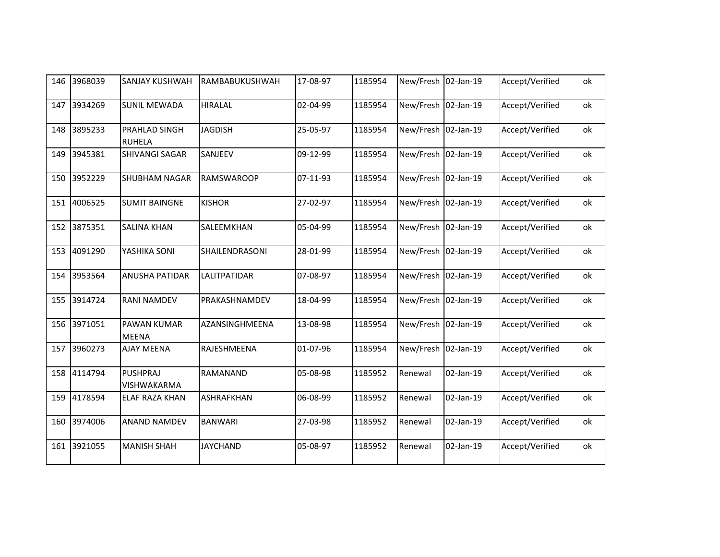| 146 | 3968039 | <b>SANJAY KUSHWAH</b>                 | RAMBABUKUSHWAH    | 17-08-97 | 1185954 | New/Fresh 02-Jan-19 |           | Accept/Verified | ok |
|-----|---------|---------------------------------------|-------------------|----------|---------|---------------------|-----------|-----------------|----|
| 147 | 3934269 | <b>SUNIL MEWADA</b>                   | <b>HIRALAL</b>    | 02-04-99 | 1185954 | New/Fresh 02-Jan-19 |           | Accept/Verified | ok |
| 148 | 3895233 | PRAHLAD SINGH<br><b>RUHELA</b>        | <b>JAGDISH</b>    | 25-05-97 | 1185954 | New/Fresh           | 02-Jan-19 | Accept/Verified | ok |
| 149 | 3945381 | <b>SHIVANGI SAGAR</b>                 | SANJEEV           | 09-12-99 | 1185954 | New/Fresh 02-Jan-19 |           | Accept/Verified | ok |
| 150 | 3952229 | <b>SHUBHAM NAGAR</b>                  | <b>RAMSWAROOP</b> | 07-11-93 | 1185954 | New/Fresh 02-Jan-19 |           | Accept/Verified | ok |
| 151 | 4006525 | <b>SUMIT BAINGNE</b>                  | <b>KISHOR</b>     | 27-02-97 | 1185954 | New/Fresh           | 02-Jan-19 | Accept/Verified | ok |
| 152 | 3875351 | <b>SALINA KHAN</b>                    | SALEEMKHAN        | 05-04-99 | 1185954 | New/Fresh 02-Jan-19 |           | Accept/Verified | ok |
| 153 | 4091290 | YASHIKA SONI                          | SHAILENDRASONI    | 28-01-99 | 1185954 | New/Fresh 02-Jan-19 |           | Accept/Verified | ok |
| 154 | 3953564 | <b>ANUSHA PATIDAR</b>                 | LALITPATIDAR      | 07-08-97 | 1185954 | New/Fresh           | 02-Jan-19 | Accept/Verified | ok |
| 155 | 3914724 | <b>RANI NAMDEV</b>                    | PRAKASHNAMDEV     | 18-04-99 | 1185954 | New/Fresh 02-Jan-19 |           | Accept/Verified | ok |
| 156 | 3971051 | <b>PAWAN KUMAR</b><br><b>MEENA</b>    | AZANSINGHMEENA    | 13-08-98 | 1185954 | New/Fresh 02-Jan-19 |           | Accept/Verified | ok |
| 157 | 3960273 | <b>AJAY MEENA</b>                     | RAJESHMEENA       | 01-07-96 | 1185954 | New/Fresh           | 02-Jan-19 | Accept/Verified | ok |
| 158 | 4114794 | <b>PUSHPRAJ</b><br><b>VISHWAKARMA</b> | RAMANAND          | 05-08-98 | 1185952 | Renewal             | 02-Jan-19 | Accept/Verified | ok |
| 159 | 4178594 | <b>ELAF RAZA KHAN</b>                 | ASHRAFKHAN        | 06-08-99 | 1185952 | Renewal             | 02-Jan-19 | Accept/Verified | ok |
| 160 | 3974006 | <b>ANAND NAMDEV</b>                   | <b>BANWARI</b>    | 27-03-98 | 1185952 | Renewal             | 02-Jan-19 | Accept/Verified | ok |
| 161 | 3921055 | <b>MANISH SHAH</b>                    | <b>JAYCHAND</b>   | 05-08-97 | 1185952 | Renewal             | 02-Jan-19 | Accept/Verified | ok |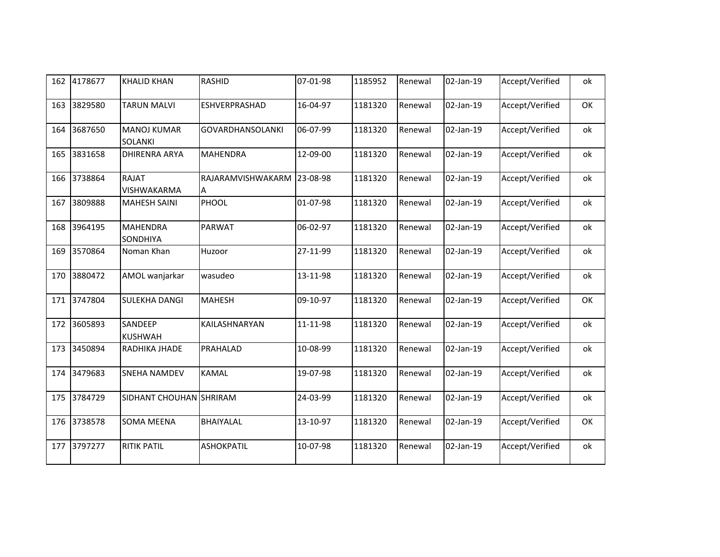| 162 | 4178677 | <b>KHALID KHAN</b>                   | <b>RASHID</b>           | 07-01-98 | 1185952 | Renewal | 02-Jan-19 | Accept/Verified | ok |
|-----|---------|--------------------------------------|-------------------------|----------|---------|---------|-----------|-----------------|----|
| 163 | 3829580 | <b>TARUN MALVI</b>                   | ESHVERPRASHAD           | 16-04-97 | 1181320 | Renewal | 02-Jan-19 | Accept/Verified | OK |
| 164 | 3687650 | <b>MANOJ KUMAR</b><br><b>SOLANKI</b> | <b>GOVARDHANSOLANKI</b> | 06-07-99 | 1181320 | Renewal | 02-Jan-19 | Accept/Verified | ok |
| 165 | 3831658 | <b>DHIRENRA ARYA</b>                 | <b>MAHENDRA</b>         | 12-09-00 | 1181320 | Renewal | 02-Jan-19 | Accept/Verified | ok |
| 166 | 3738864 | <b>RAJAT</b><br>VISHWAKARMA          | RAJARAMVISHWAKARM<br>Α  | 23-08-98 | 1181320 | Renewal | 02-Jan-19 | Accept/Verified | ok |
| 167 | 3809888 | <b>MAHESH SAINI</b>                  | PHOOL                   | 01-07-98 | 1181320 | Renewal | 02-Jan-19 | Accept/Verified | ok |
| 168 | 3964195 | <b>MAHENDRA</b><br><b>SONDHIYA</b>   | PARWAT                  | 06-02-97 | 1181320 | Renewal | 02-Jan-19 | Accept/Verified | ok |
| 169 | 3570864 | Noman Khan                           | Huzoor                  | 27-11-99 | 1181320 | Renewal | 02-Jan-19 | Accept/Verified | ok |
| 170 | 3880472 | AMOL wanjarkar                       | wasudeo                 | 13-11-98 | 1181320 | Renewal | 02-Jan-19 | Accept/Verified | ok |
| 171 | 3747804 | <b>SULEKHA DANGI</b>                 | <b>MAHESH</b>           | 09-10-97 | 1181320 | Renewal | 02-Jan-19 | Accept/Verified | OK |
| 172 | 3605893 | SANDEEP<br><b>KUSHWAH</b>            | KAILASHNARYAN           | 11-11-98 | 1181320 | Renewal | 02-Jan-19 | Accept/Verified | ok |
| 173 | 3450894 | RADHIKA JHADE                        | PRAHALAD                | 10-08-99 | 1181320 | Renewal | 02-Jan-19 | Accept/Verified | ok |
| 174 | 3479683 | <b>SNEHA NAMDEV</b>                  | <b>KAMAL</b>            | 19-07-98 | 1181320 | Renewal | 02-Jan-19 | Accept/Verified | ok |
| 175 | 3784729 | SIDHANT CHOUHAN SHRIRAM              |                         | 24-03-99 | 1181320 | Renewal | 02-Jan-19 | Accept/Verified | ok |
| 176 | 3738578 | <b>SOMA MEENA</b>                    | BHAIYALAL               | 13-10-97 | 1181320 | Renewal | 02-Jan-19 | Accept/Verified | OK |
| 177 | 3797277 | <b>RITIK PATIL</b>                   | <b>ASHOKPATIL</b>       | 10-07-98 | 1181320 | Renewal | 02-Jan-19 | Accept/Verified | ok |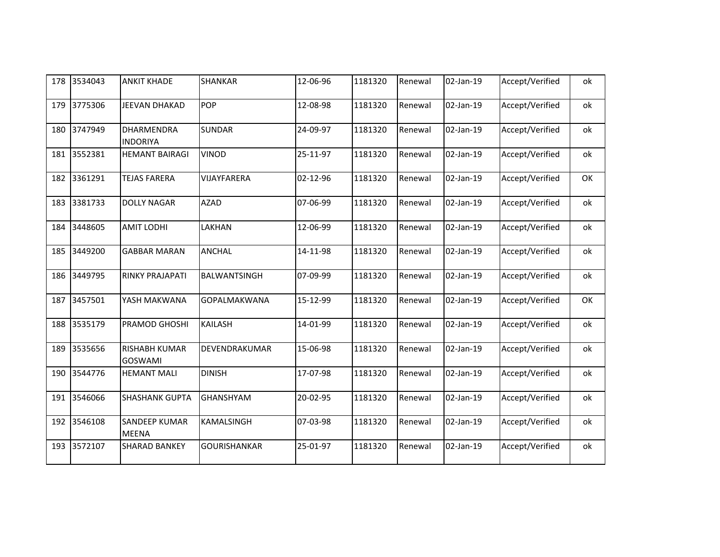| 178 | 3534043 | <b>ANKIT KHADE</b>                     | <b>SHANKAR</b>      | 12-06-96 | 1181320 | Renewal | 02-Jan-19 | Accept/Verified | ok |
|-----|---------|----------------------------------------|---------------------|----------|---------|---------|-----------|-----------------|----|
| 179 | 3775306 | JEEVAN DHAKAD                          | POP                 | 12-08-98 | 1181320 | Renewal | 02-Jan-19 | Accept/Verified | ok |
| 180 | 3747949 | DHARMENDRA<br><b>INDORIYA</b>          | <b>SUNDAR</b>       | 24-09-97 | 1181320 | Renewal | 02-Jan-19 | Accept/Verified | ok |
| 181 | 3552381 | <b>HEMANT BAIRAGI</b>                  | <b>VINOD</b>        | 25-11-97 | 1181320 | Renewal | 02-Jan-19 | Accept/Verified | ok |
| 182 | 3361291 | <b>TEJAS FARERA</b>                    | VIJAYFARERA         | 02-12-96 | 1181320 | Renewal | 02-Jan-19 | Accept/Verified | OK |
| 183 | 3381733 | <b>DOLLY NAGAR</b>                     | <b>AZAD</b>         | 07-06-99 | 1181320 | Renewal | 02-Jan-19 | Accept/Verified | ok |
| 184 | 3448605 | <b>AMIT LODHI</b>                      | LAKHAN              | 12-06-99 | 1181320 | Renewal | 02-Jan-19 | Accept/Verified | ok |
| 185 | 3449200 | <b>GABBAR MARAN</b>                    | <b>ANCHAL</b>       | 14-11-98 | 1181320 | Renewal | 02-Jan-19 | Accept/Verified | ok |
| 186 | 3449795 | RINKY PRAJAPATI                        | BALWANTSINGH        | 07-09-99 | 1181320 | Renewal | 02-Jan-19 | Accept/Verified | ok |
| 187 | 3457501 | YASH MAKWANA                           | GOPALMAKWANA        | 15-12-99 | 1181320 | Renewal | 02-Jan-19 | Accept/Verified | OK |
| 188 | 3535179 | PRAMOD GHOSHI                          | <b>KAILASH</b>      | 14-01-99 | 1181320 | Renewal | 02-Jan-19 | Accept/Verified | ok |
| 189 | 3535656 | <b>RISHABH KUMAR</b><br><b>GOSWAMI</b> | DEVENDRAKUMAR       | 15-06-98 | 1181320 | Renewal | 02-Jan-19 | Accept/Verified | ok |
| 190 | 3544776 | <b>HEMANT MALI</b>                     | <b>DINISH</b>       | 17-07-98 | 1181320 | Renewal | 02-Jan-19 | Accept/Verified | ok |
| 191 | 3546066 | <b>SHASHANK GUPTA</b>                  | <b>GHANSHYAM</b>    | 20-02-95 | 1181320 | Renewal | 02-Jan-19 | Accept/Verified | ok |
| 192 | 3546108 | <b>SANDEEP KUMAR</b><br><b>MEENA</b>   | KAMALSINGH          | 07-03-98 | 1181320 | Renewal | 02-Jan-19 | Accept/Verified | ok |
| 193 | 3572107 | <b>SHARAD BANKEY</b>                   | <b>GOURISHANKAR</b> | 25-01-97 | 1181320 | Renewal | 02-Jan-19 | Accept/Verified | ok |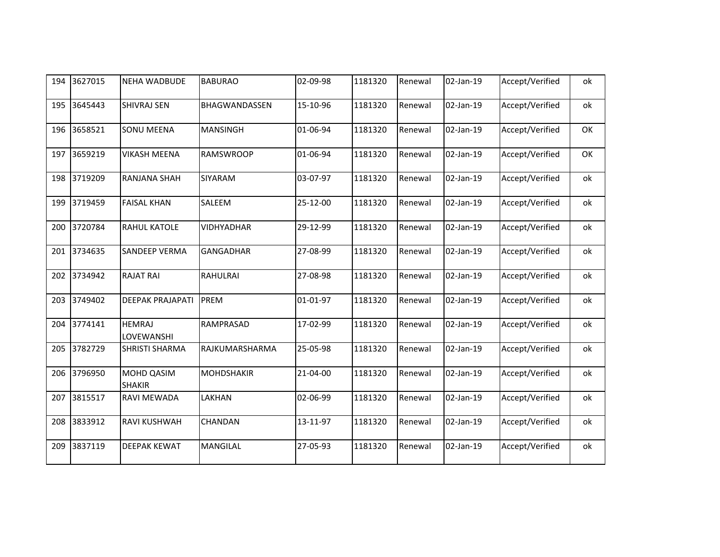| 194 | 3627015 | <b>NEHA WADBUDE</b>                | <b>BABURAO</b>    | 02-09-98 | 1181320 | Renewal | 02-Jan-19 | Accept/Verified | ok |
|-----|---------|------------------------------------|-------------------|----------|---------|---------|-----------|-----------------|----|
| 195 | 3645443 | <b>SHIVRAJ SEN</b>                 | BHAGWANDASSEN     | 15-10-96 | 1181320 | Renewal | 02-Jan-19 | Accept/Verified | оk |
| 196 | 3658521 | <b>SONU MEENA</b>                  | <b>MANSINGH</b>   | 01-06-94 | 1181320 | Renewal | 02-Jan-19 | Accept/Verified | OK |
| 197 | 3659219 | <b>VIKASH MEENA</b>                | <b>RAMSWROOP</b>  | 01-06-94 | 1181320 | Renewal | 02-Jan-19 | Accept/Verified | OK |
| 198 | 3719209 | <b>RANJANA SHAH</b>                | <b>SIYARAM</b>    | 03-07-97 | 1181320 | Renewal | 02-Jan-19 | Accept/Verified | оk |
| 199 | 3719459 | <b>FAISAL KHAN</b>                 | SALEEM            | 25-12-00 | 1181320 | Renewal | 02-Jan-19 | Accept/Verified | ok |
| 200 | 3720784 | <b>RAHUL KATOLE</b>                | <b>VIDHYADHAR</b> | 29-12-99 | 1181320 | Renewal | 02-Jan-19 | Accept/Verified | ok |
| 201 | 3734635 | <b>SANDEEP VERMA</b>               | <b>GANGADHAR</b>  | 27-08-99 | 1181320 | Renewal | 02-Jan-19 | Accept/Verified | ok |
| 202 | 3734942 | <b>RAJAT RAI</b>                   | <b>RAHULRAI</b>   | 27-08-98 | 1181320 | Renewal | 02-Jan-19 | Accept/Verified | ok |
| 203 | 3749402 | <b>DEEPAK PRAJAPATI</b>            | PREM              | 01-01-97 | 1181320 | Renewal | 02-Jan-19 | Accept/Verified | ok |
| 204 | 3774141 | <b>HEMRAJ</b><br>LOVEWANSHI        | RAMPRASAD         | 17-02-99 | 1181320 | Renewal | 02-Jan-19 | Accept/Verified | ok |
| 205 | 3782729 | <b>SHRISTI SHARMA</b>              | RAJKUMARSHARMA    | 25-05-98 | 1181320 | Renewal | 02-Jan-19 | Accept/Verified | оk |
| 206 | 3796950 | <b>MOHD QASIM</b><br><b>SHAKIR</b> | <b>MOHDSHAKIR</b> | 21-04-00 | 1181320 | Renewal | 02-Jan-19 | Accept/Verified | ok |
| 207 | 3815517 | <b>RAVI MEWADA</b>                 | LAKHAN            | 02-06-99 | 1181320 | Renewal | 02-Jan-19 | Accept/Verified | оk |
| 208 | 3833912 | <b>RAVI KUSHWAH</b>                | CHANDAN           | 13-11-97 | 1181320 | Renewal | 02-Jan-19 | Accept/Verified | оk |
| 209 | 3837119 | <b>DEEPAK KEWAT</b>                | <b>MANGILAL</b>   | 27-05-93 | 1181320 | Renewal | 02-Jan-19 | Accept/Verified | оk |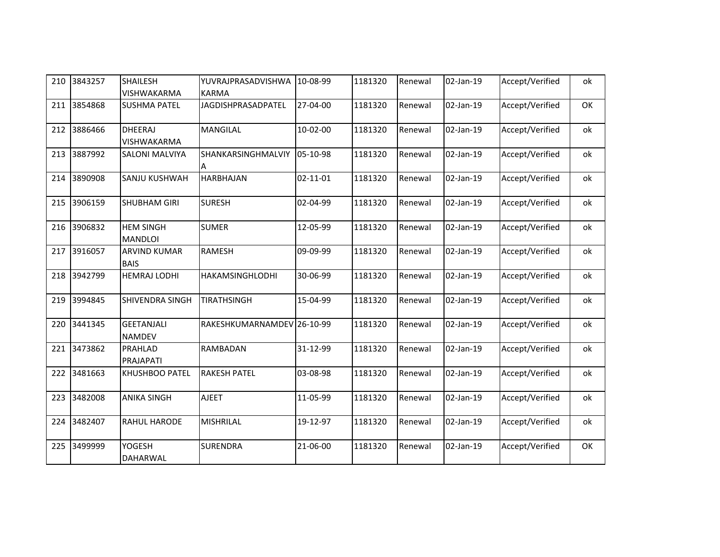| 210 | 3843257 | <b>SHAILESH</b><br>VISHWAKARMA     | YUVRAJPRASADVISHWA<br><b>KARMA</b> | 10-08-99       | 1181320 | Renewal | 02-Jan-19 | Accept/Verified | ok |
|-----|---------|------------------------------------|------------------------------------|----------------|---------|---------|-----------|-----------------|----|
| 211 | 3854868 | <b>SUSHMA PATEL</b>                | JAGDISHPRASADPATEL                 | 27-04-00       | 1181320 | Renewal | 02-Jan-19 | Accept/Verified | OK |
| 212 | 3886466 | <b>DHEERAJ</b><br>VISHWAKARMA      | <b>MANGILAL</b>                    | 10-02-00       | 1181320 | Renewal | 02-Jan-19 | Accept/Verified | ok |
| 213 | 3887992 | <b>SALONI MALVIYA</b>              | SHANKARSINGHMALVIY<br>A            | 05-10-98       | 1181320 | Renewal | 02-Jan-19 | Accept/Verified | ok |
| 214 | 3890908 | SANJU KUSHWAH                      | <b>HARBHAJAN</b>                   | $02 - 11 - 01$ | 1181320 | Renewal | 02-Jan-19 | Accept/Verified | ok |
| 215 | 3906159 | <b>SHUBHAM GIRI</b>                | <b>SURESH</b>                      | 02-04-99       | 1181320 | Renewal | 02-Jan-19 | Accept/Verified | ok |
| 216 | 3906832 | <b>HEM SINGH</b><br><b>MANDLOI</b> | <b>SUMER</b>                       | 12-05-99       | 1181320 | Renewal | 02-Jan-19 | Accept/Verified | ok |
| 217 | 3916057 | <b>ARVIND KUMAR</b><br><b>BAIS</b> | <b>RAMESH</b>                      | 09-09-99       | 1181320 | Renewal | 02-Jan-19 | Accept/Verified | ok |
| 218 | 3942799 | <b>HEMRAJ LODHI</b>                | HAKAMSINGHLODHI                    | 30-06-99       | 1181320 | Renewal | 02-Jan-19 | Accept/Verified | ok |
| 219 | 3994845 | <b>SHIVENDRA SINGH</b>             | <b>TIRATHSINGH</b>                 | 15-04-99       | 1181320 | Renewal | 02-Jan-19 | Accept/Verified | ok |
| 220 | 3441345 | <b>GEETANJALI</b><br><b>NAMDEV</b> | RAKESHKUMARNAMDEV 26-10-99         |                | 1181320 | Renewal | 02-Jan-19 | Accept/Verified | ok |
| 221 | 3473862 | PRAHLAD<br>PRAJAPATI               | RAMBADAN                           | 31-12-99       | 1181320 | Renewal | 02-Jan-19 | Accept/Verified | ok |
| 222 | 3481663 | <b>KHUSHBOO PATEL</b>              | <b>RAKESH PATEL</b>                | 03-08-98       | 1181320 | Renewal | 02-Jan-19 | Accept/Verified | ok |
| 223 | 3482008 | <b>ANIKA SINGH</b>                 | <b>AJEET</b>                       | 11-05-99       | 1181320 | Renewal | 02-Jan-19 | Accept/Verified | ok |
| 224 | 3482407 | RAHUL HARODE                       | <b>MISHRILAL</b>                   | 19-12-97       | 1181320 | Renewal | 02-Jan-19 | Accept/Verified | ok |
| 225 | 3499999 | YOGESH<br>DAHARWAL                 | <b>SURENDRA</b>                    | 21-06-00       | 1181320 | Renewal | 02-Jan-19 | Accept/Verified | OK |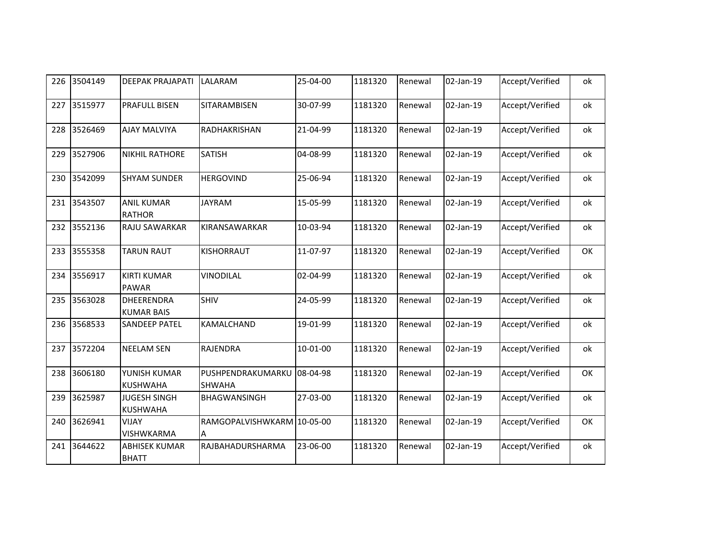| 226 | 3504149 | <b>DEEPAK PRAJAPATI</b>                | LALARAM                            | 25-04-00   | 1181320 | Renewal | 02-Jan-19 | Accept/Verified | ok |
|-----|---------|----------------------------------------|------------------------------------|------------|---------|---------|-----------|-----------------|----|
| 227 | 3515977 | <b>PRAFULL BISEN</b>                   | SITARAMBISEN                       | 30-07-99   | 1181320 | Renewal | 02-Jan-19 | Accept/Verified | ok |
| 228 | 3526469 | <b>AJAY MALVIYA</b>                    | RADHAKRISHAN                       | 21-04-99   | 1181320 | Renewal | 02-Jan-19 | Accept/Verified | ok |
| 229 | 3527906 | <b>NIKHIL RATHORE</b>                  | <b>SATISH</b>                      | 04-08-99   | 1181320 | Renewal | 02-Jan-19 | Accept/Verified | ok |
| 230 | 3542099 | <b>SHYAM SUNDER</b>                    | <b>HERGOVIND</b>                   | 25-06-94   | 1181320 | Renewal | 02-Jan-19 | Accept/Verified | ok |
| 231 | 3543507 | <b>ANIL KUMAR</b><br><b>RATHOR</b>     | <b>JAYRAM</b>                      | 15-05-99   | 1181320 | Renewal | 02-Jan-19 | Accept/Verified | ok |
| 232 | 3552136 | RAJU SAWARKAR                          | KIRANSAWARKAR                      | 10-03-94   | 1181320 | Renewal | 02-Jan-19 | Accept/Verified | ok |
| 233 | 3555358 | <b>TARUN RAUT</b>                      | KISHORRAUT                         | 11-07-97   | 1181320 | Renewal | 02-Jan-19 | Accept/Verified | OK |
| 234 | 3556917 | <b>KIRTI KUMAR</b><br><b>PAWAR</b>     | VINODILAL                          | 02-04-99   | 1181320 | Renewal | 02-Jan-19 | Accept/Verified | ok |
| 235 | 3563028 | DHEERENDRA<br><b>KUMAR BAIS</b>        | <b>SHIV</b>                        | 24-05-99   | 1181320 | Renewal | 02-Jan-19 | Accept/Verified | ok |
| 236 | 3568533 | <b>SANDEEP PATEL</b>                   | KAMALCHAND                         | 19-01-99   | 1181320 | Renewal | 02-Jan-19 | Accept/Verified | ok |
| 237 | 3572204 | <b>NEELAM SEN</b>                      | RAJENDRA                           | $10-01-00$ | 1181320 | Renewal | 02-Jan-19 | Accept/Verified | ok |
| 238 | 3606180 | YUNISH KUMAR<br><b>KUSHWAHA</b>        | PUSHPENDRAKUMARKU<br><b>SHWAHA</b> | 08-04-98   | 1181320 | Renewal | 02-Jan-19 | Accept/Verified | OK |
| 239 | 3625987 | <b>JUGESH SINGH</b><br><b>KUSHWAHA</b> | BHAGWANSINGH                       | 27-03-00   | 1181320 | Renewal | 02-Jan-19 | Accept/Verified | ok |
| 240 | 3626941 | <b>VIJAY</b><br><b>VISHWKARMA</b>      | RAMGOPALVISHWKARM 10-05-00<br>A    |            | 1181320 | Renewal | 02-Jan-19 | Accept/Verified | OK |
| 241 | 3644622 | <b>ABHISEK KUMAR</b><br><b>BHATT</b>   | RAJBAHADURSHARMA                   | 23-06-00   | 1181320 | Renewal | 02-Jan-19 | Accept/Verified | ok |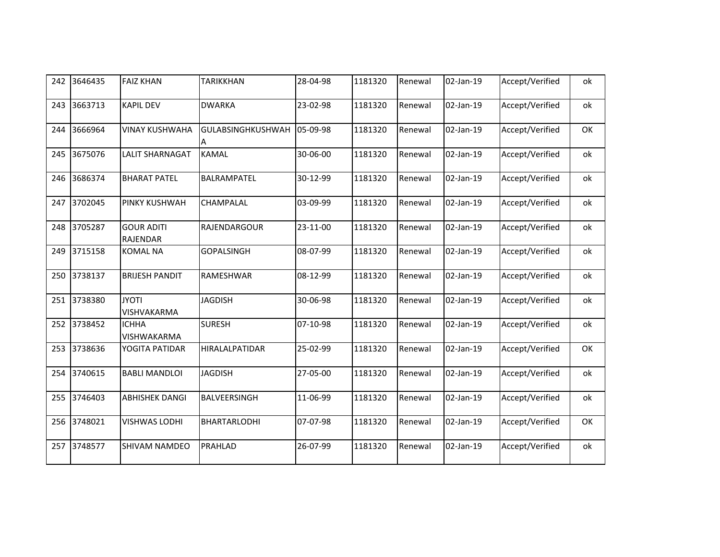| 242 | 3646435 | <b>FAIZ KHAN</b>              | <b>TARIKKHAN</b>       | 28-04-98 | 1181320 | Renewal | 02-Jan-19 | Accept/Verified | ok |
|-----|---------|-------------------------------|------------------------|----------|---------|---------|-----------|-----------------|----|
| 243 | 3663713 | <b>KAPIL DEV</b>              | <b>DWARKA</b>          | 23-02-98 | 1181320 | Renewal | 02-Jan-19 | Accept/Verified | ok |
| 244 | 3666964 | <b>VINAY KUSHWAHA</b>         | GULABSINGHKUSHWAH<br>A | 05-09-98 | 1181320 | Renewal | 02-Jan-19 | Accept/Verified | OK |
| 245 | 3675076 | LALIT SHARNAGAT               | <b>KAMAL</b>           | 30-06-00 | 1181320 | Renewal | 02-Jan-19 | Accept/Verified | ok |
| 246 | 3686374 | <b>BHARAT PATEL</b>           | BALRAMPATEL            | 30-12-99 | 1181320 | Renewal | 02-Jan-19 | Accept/Verified | ok |
| 247 | 3702045 | PINKY KUSHWAH                 | CHAMPALAL              | 03-09-99 | 1181320 | Renewal | 02-Jan-19 | Accept/Verified | ok |
| 248 | 3705287 | <b>GOUR ADITI</b><br>RAJENDAR | RAJENDARGOUR           | 23-11-00 | 1181320 | Renewal | 02-Jan-19 | Accept/Verified | ok |
| 249 | 3715158 | <b>KOMAL NA</b>               | <b>GOPALSINGH</b>      | 08-07-99 | 1181320 | Renewal | 02-Jan-19 | Accept/Verified | ok |
| 250 | 3738137 | <b>BRIJESH PANDIT</b>         | RAMESHWAR              | 08-12-99 | 1181320 | Renewal | 02-Jan-19 | Accept/Verified | ok |
| 251 | 3738380 | <b>JYOTI</b><br>VISHVAKARMA   | <b>JAGDISH</b>         | 30-06-98 | 1181320 | Renewal | 02-Jan-19 | Accept/Verified | ok |
| 252 | 3738452 | <b>ICHHA</b><br>VISHWAKARMA   | <b>SURESH</b>          | 07-10-98 | 1181320 | Renewal | 02-Jan-19 | Accept/Verified | ok |
| 253 | 3738636 | YOGITA PATIDAR                | HIRALALPATIDAR         | 25-02-99 | 1181320 | Renewal | 02-Jan-19 | Accept/Verified | OK |
| 254 | 3740615 | <b>BABLI MANDLOI</b>          | <b>JAGDISH</b>         | 27-05-00 | 1181320 | Renewal | 02-Jan-19 | Accept/Verified | ok |
| 255 | 3746403 | <b>ABHISHEK DANGI</b>         | BALVEERSINGH           | 11-06-99 | 1181320 | Renewal | 02-Jan-19 | Accept/Verified | ok |
| 256 | 3748021 | <b>VISHWAS LODHI</b>          | BHARTARLODHI           | 07-07-98 | 1181320 | Renewal | 02-Jan-19 | Accept/Verified | OK |
| 257 | 3748577 | SHIVAM NAMDEO                 | PRAHLAD                | 26-07-99 | 1181320 | Renewal | 02-Jan-19 | Accept/Verified | ok |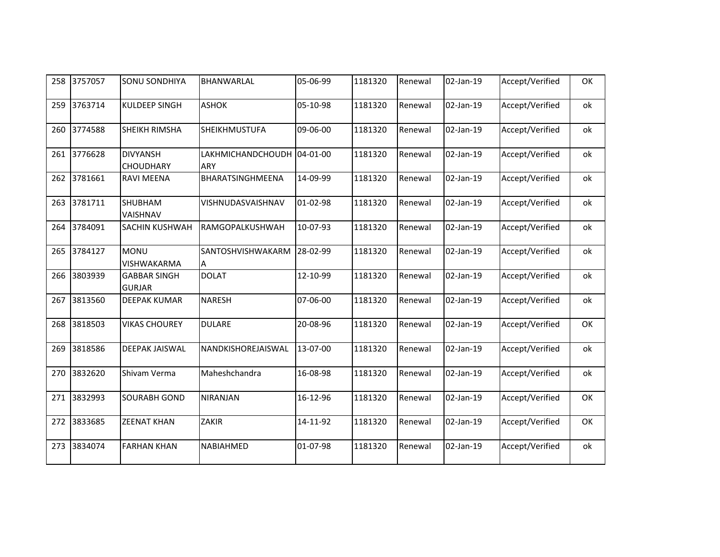| 258 | 3757057 | <b>SONU SONDHIYA</b>                 | BHANWARLAL                               | 05-06-99 | 1181320 | Renewal | 02-Jan-19 | Accept/Verified | OK |
|-----|---------|--------------------------------------|------------------------------------------|----------|---------|---------|-----------|-----------------|----|
| 259 | 3763714 | <b>KULDEEP SINGH</b>                 | <b>ASHOK</b>                             | 05-10-98 | 1181320 | Renewal | 02-Jan-19 | Accept/Verified | ok |
| 260 | 3774588 | SHEIKH RIMSHA                        | SHEIKHMUSTUFA                            | 09-06-00 | 1181320 | Renewal | 02-Jan-19 | Accept/Verified | ok |
| 261 | 3776628 | <b>DIVYANSH</b><br>CHOUDHARY         | LAKHMICHANDCHOUDH 04-01-00<br><b>ARY</b> |          | 1181320 | Renewal | 02-Jan-19 | Accept/Verified | ok |
| 262 | 3781661 | <b>RAVI MEENA</b>                    | BHARATSINGHMEENA                         | 14-09-99 | 1181320 | Renewal | 02-Jan-19 | Accept/Verified | ok |
| 263 | 3781711 | <b>SHUBHAM</b><br>VAISHNAV           | VISHNUDASVAISHNAV                        | 01-02-98 | 1181320 | Renewal | 02-Jan-19 | Accept/Verified | ok |
| 264 | 3784091 | SACHIN KUSHWAH                       | RAMGOPALKUSHWAH                          | 10-07-93 | 1181320 | Renewal | 02-Jan-19 | Accept/Verified | ok |
| 265 | 3784127 | <b>MONU</b><br>VISHWAKARMA           | SANTOSHVISHWAKARM<br>A                   | 28-02-99 | 1181320 | Renewal | 02-Jan-19 | Accept/Verified | ok |
| 266 | 3803939 | <b>GABBAR SINGH</b><br><b>GURJAR</b> | <b>DOLAT</b>                             | 12-10-99 | 1181320 | Renewal | 02-Jan-19 | Accept/Verified | ok |
| 267 | 3813560 | <b>DEEPAK KUMAR</b>                  | <b>NARESH</b>                            | 07-06-00 | 1181320 | Renewal | 02-Jan-19 | Accept/Verified | ok |
| 268 | 3818503 | <b>VIKAS CHOUREY</b>                 | <b>DULARE</b>                            | 20-08-96 | 1181320 | Renewal | 02-Jan-19 | Accept/Verified | OK |
| 269 | 3818586 | <b>DEEPAK JAISWAL</b>                | NANDKISHOREJAISWAL                       | 13-07-00 | 1181320 | Renewal | 02-Jan-19 | Accept/Verified | ok |
| 270 | 3832620 | Shivam Verma                         | Maheshchandra                            | 16-08-98 | 1181320 | Renewal | 02-Jan-19 | Accept/Verified | ok |
| 271 | 3832993 | <b>SOURABH GOND</b>                  | <b>NIRANJAN</b>                          | 16-12-96 | 1181320 | Renewal | 02-Jan-19 | Accept/Verified | OK |
| 272 | 3833685 | <b>ZEENAT KHAN</b>                   | ZAKIR                                    | 14-11-92 | 1181320 | Renewal | 02-Jan-19 | Accept/Verified | OK |
| 273 | 3834074 | <b>FARHAN KHAN</b>                   | NABIAHMED                                | 01-07-98 | 1181320 | Renewal | 02-Jan-19 | Accept/Verified | ok |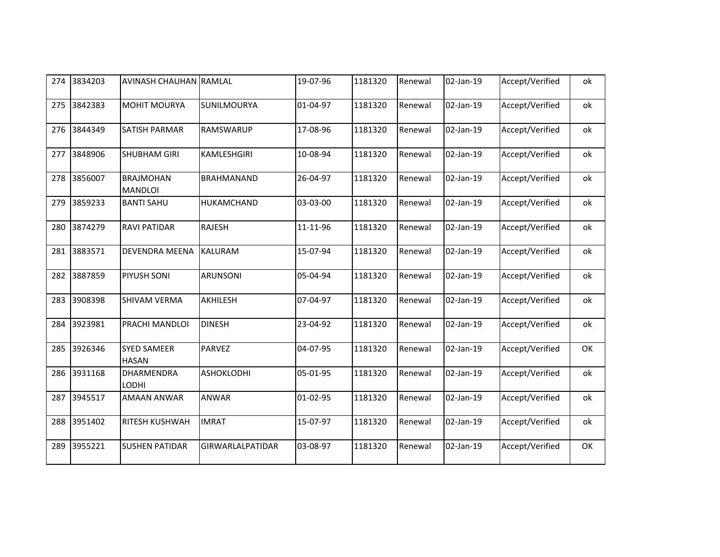| 274 | 3834203 | <b>AVINASH CHAUHAN RAMLAL</b>      |                         | 19-07-96 | 1181320 | Renewal | 02-Jan-19 | Accept/Verified | ok |
|-----|---------|------------------------------------|-------------------------|----------|---------|---------|-----------|-----------------|----|
| 275 | 3842383 | <b>MOHIT MOURYA</b>                | <b>SUNILMOURYA</b>      | 01-04-97 | 1181320 | Renewal | 02-Jan-19 | Accept/Verified | оk |
| 276 | 3844349 | <b>SATISH PARMAR</b>               | <b>RAMSWARUP</b>        | 17-08-96 | 1181320 | Renewal | 02-Jan-19 | Accept/Verified | ok |
| 277 | 3848906 | <b>SHUBHAM GIRI</b>                | KAMLESHGIRI             | 10-08-94 | 1181320 | Renewal | 02-Jan-19 | Accept/Verified | ok |
| 278 | 3856007 | <b>BRAJMOHAN</b><br><b>MANDLOI</b> | <b>BRAHMANAND</b>       | 26-04-97 | 1181320 | Renewal | 02-Jan-19 | Accept/Verified | оk |
| 279 | 3859233 | <b>BANTI SAHU</b>                  | HUKAMCHAND              | 03-03-00 | 1181320 | Renewal | 02-Jan-19 | Accept/Verified | ok |
| 280 | 3874279 | <b>RAVI PATIDAR</b>                | <b>RAJESH</b>           | 11-11-96 | 1181320 | Renewal | 02-Jan-19 | Accept/Verified | оk |
| 281 | 3883571 | <b>DEVENDRA MEENA</b>              | <b>KALURAM</b>          | 15-07-94 | 1181320 | Renewal | 02-Jan-19 | Accept/Verified | ok |
| 282 | 3887859 | PIYUSH SONI                        | <b>ARUNSONI</b>         | 05-04-94 | 1181320 | Renewal | 02-Jan-19 | Accept/Verified | ok |
| 283 | 3908398 | SHIVAM VERMA                       | AKHILESH                | 07-04-97 | 1181320 | Renewal | 02-Jan-19 | Accept/Verified | оk |
| 284 | 3923981 | PRACHI MANDLOI                     | <b>DINESH</b>           | 23-04-92 | 1181320 | Renewal | 02-Jan-19 | Accept/Verified | оk |
| 285 | 3926346 | <b>SYED SAMEER</b><br><b>HASAN</b> | <b>PARVEZ</b>           | 04-07-95 | 1181320 | Renewal | 02-Jan-19 | Accept/Verified | OK |
| 286 | 3931168 | DHARMENDRA<br><b>LODHI</b>         | <b>ASHOKLODHI</b>       | 05-01-95 | 1181320 | Renewal | 02-Jan-19 | Accept/Verified | ok |
| 287 | 3945517 | <b>AMAAN ANWAR</b>                 | <b>ANWAR</b>            | 01-02-95 | 1181320 | Renewal | 02-Jan-19 | Accept/Verified | оk |
| 288 | 3951402 | RITESH KUSHWAH                     | <b>IMRAT</b>            | 15-07-97 | 1181320 | Renewal | 02-Jan-19 | Accept/Verified | оk |
| 289 | 3955221 | <b>SUSHEN PATIDAR</b>              | <b>GIRWARLALPATIDAR</b> | 03-08-97 | 1181320 | Renewal | 02-Jan-19 | Accept/Verified | OK |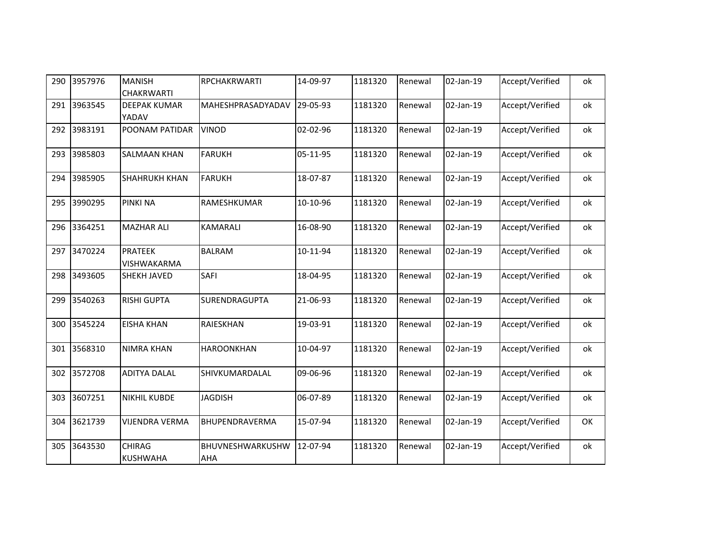| 290 | 3957976 | <b>MANISH</b><br><b>CHAKRWARTI</b> | <b>RPCHAKRWARTI</b>     | 14-09-97 | 1181320 | Renewal | 02-Jan-19 | Accept/Verified | ok |
|-----|---------|------------------------------------|-------------------------|----------|---------|---------|-----------|-----------------|----|
| 291 | 3963545 | <b>DEEPAK KUMAR</b><br>YADAV       | MAHESHPRASADYADAV       | 29-05-93 | 1181320 | Renewal | 02-Jan-19 | Accept/Verified | ok |
| 292 | 3983191 | POONAM PATIDAR                     | <b>VINOD</b>            | 02-02-96 | 1181320 | Renewal | 02-Jan-19 | Accept/Verified | ok |
| 293 | 3985803 | <b>SALMAAN KHAN</b>                | <b>FARUKH</b>           | 05-11-95 | 1181320 | Renewal | 02-Jan-19 | Accept/Verified | ok |
| 294 | 3985905 | <b>SHAHRUKH KHAN</b>               | <b>FARUKH</b>           | 18-07-87 | 1181320 | Renewal | 02-Jan-19 | Accept/Verified | ok |
| 295 | 3990295 | PINKI NA                           | RAMESHKUMAR             | 10-10-96 | 1181320 | Renewal | 02-Jan-19 | Accept/Verified | ok |
| 296 | 3364251 | <b>MAZHAR ALI</b>                  | KAMARALI                | 16-08-90 | 1181320 | Renewal | 02-Jan-19 | Accept/Verified | ok |
| 297 | 3470224 | <b>PRATEEK</b><br>VISHWAKARMA      | <b>BALRAM</b>           | 10-11-94 | 1181320 | Renewal | 02-Jan-19 | Accept/Verified | ok |
| 298 | 3493605 | <b>SHEKH JAVED</b>                 | SAFI                    | 18-04-95 | 1181320 | Renewal | 02-Jan-19 | Accept/Verified | ok |
| 299 | 3540263 | <b>RISHI GUPTA</b>                 | SURENDRAGUPTA           | 21-06-93 | 1181320 | Renewal | 02-Jan-19 | Accept/Verified | ok |
| 300 | 3545224 | <b>EISHA KHAN</b>                  | RAIESKHAN               | 19-03-91 | 1181320 | Renewal | 02-Jan-19 | Accept/Verified | ok |
| 301 | 3568310 | <b>NIMRA KHAN</b>                  | <b>HAROONKHAN</b>       | 10-04-97 | 1181320 | Renewal | 02-Jan-19 | Accept/Verified | ok |
| 302 | 3572708 | <b>ADITYA DALAL</b>                | SHIVKUMARDALAL          | 09-06-96 | 1181320 | Renewal | 02-Jan-19 | Accept/Verified | ok |
| 303 | 3607251 | <b>NIKHIL KUBDE</b>                | <b>JAGDISH</b>          | 06-07-89 | 1181320 | Renewal | 02-Jan-19 | Accept/Verified | ok |
| 304 | 3621739 | <b>VIJENDRA VERMA</b>              | BHUPENDRAVERMA          | 15-07-94 | 1181320 | Renewal | 02-Jan-19 | Accept/Verified | OK |
| 305 | 3643530 | <b>CHIRAG</b><br><b>KUSHWAHA</b>   | BHUVNESHWARKUSHW<br>AHA | 12-07-94 | 1181320 | Renewal | 02-Jan-19 | Accept/Verified | ok |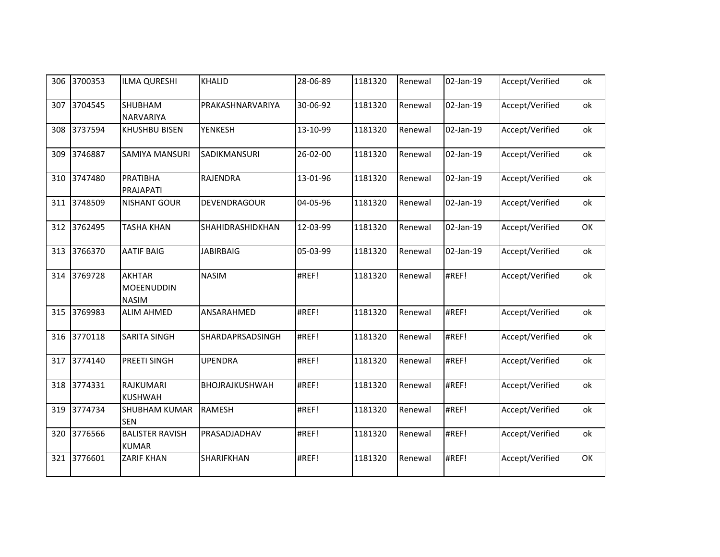| 306 | 3700353 | <b>ILMA QURESHI</b>                                | <b>KHALID</b>         | 28-06-89 | 1181320 | Renewal | 02-Jan-19 | Accept/Verified | ok |
|-----|---------|----------------------------------------------------|-----------------------|----------|---------|---------|-----------|-----------------|----|
| 307 | 3704545 | <b>SHUBHAM</b><br>NARVARIYA                        | PRAKASHNARVARIYA      | 30-06-92 | 1181320 | Renewal | 02-Jan-19 | Accept/Verified | ok |
| 308 | 3737594 | KHUSHBU BISEN                                      | <b>YENKESH</b>        | 13-10-99 | 1181320 | Renewal | 02-Jan-19 | Accept/Verified | ok |
| 309 | 3746887 | <b>SAMIYA MANSURI</b>                              | SADIKMANSURI          | 26-02-00 | 1181320 | Renewal | 02-Jan-19 | Accept/Verified | ok |
| 310 | 3747480 | PRATIBHA<br>PRAJAPATI                              | RAJENDRA              | 13-01-96 | 1181320 | Renewal | 02-Jan-19 | Accept/Verified | ok |
| 311 | 3748509 | <b>NISHANT GOUR</b>                                | DEVENDRAGOUR          | 04-05-96 | 1181320 | Renewal | 02-Jan-19 | Accept/Verified | ok |
| 312 | 3762495 | <b>TASHA KHAN</b>                                  | SHAHIDRASHIDKHAN      | 12-03-99 | 1181320 | Renewal | 02-Jan-19 | Accept/Verified | OK |
| 313 | 3766370 | <b>AATIF BAIG</b>                                  | <b>JABIRBAIG</b>      | 05-03-99 | 1181320 | Renewal | 02-Jan-19 | Accept/Verified | ok |
| 314 | 3769728 | <b>AKHTAR</b><br><b>MOEENUDDIN</b><br><b>NASIM</b> | <b>NASIM</b>          | #REF!    | 1181320 | Renewal | #REF!     | Accept/Verified | ok |
| 315 | 3769983 | <b>ALIM AHMED</b>                                  | ANSARAHMED            | #REF!    | 1181320 | Renewal | #REF!     | Accept/Verified | ok |
| 316 | 3770118 | <b>SARITA SINGH</b>                                | SHARDAPRSADSINGH      | #REF!    | 1181320 | Renewal | #REF!     | Accept/Verified | ok |
| 317 | 3774140 | PREETI SINGH                                       | <b>UPENDRA</b>        | #REF!    | 1181320 | Renewal | #REF!     | Accept/Verified | ok |
| 318 | 3774331 | RAJKUMARI<br><b>KUSHWAH</b>                        | <b>BHOJRAJKUSHWAH</b> | #REF!    | 1181320 | Renewal | #REF!     | Accept/Verified | ok |
| 319 | 3774734 | <b>SHUBHAM KUMAR</b><br><b>SEN</b>                 | <b>RAMESH</b>         | #REF!    | 1181320 | Renewal | #REF!     | Accept/Verified | ok |
| 320 | 3776566 | <b>BALISTER RAVISH</b><br><b>KUMAR</b>             | PRASADJADHAV          | #REF!    | 1181320 | Renewal | #REF!     | Accept/Verified | ok |
| 321 | 3776601 | <b>ZARIF KHAN</b>                                  | SHARIFKHAN            | #REF!    | 1181320 | Renewal | #REF!     | Accept/Verified | OK |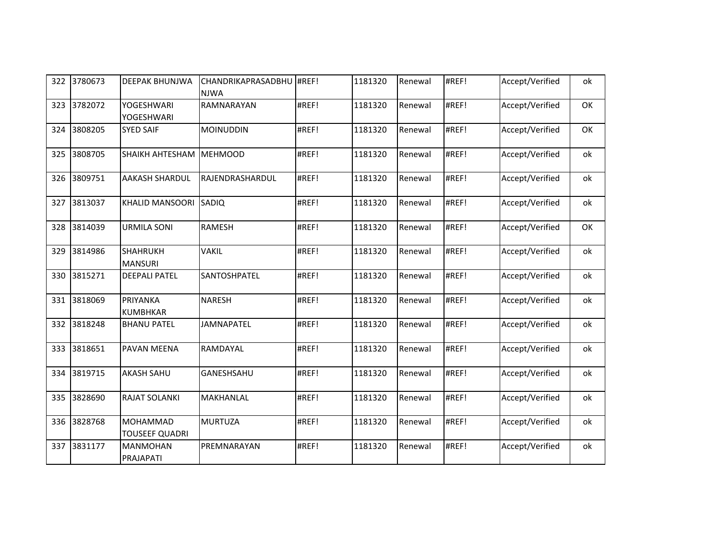| 322 | 3780673 | <b>DEEPAK BHUNJWA</b>                    | CHANDRIKAPRASADBHU #REF!<br><b>NJWA</b> |       | 1181320 | Renewal | #REF! | Accept/Verified | ok |
|-----|---------|------------------------------------------|-----------------------------------------|-------|---------|---------|-------|-----------------|----|
| 323 | 3782072 | <b>YOGESHWARI</b><br>YOGESHWARI          | RAMNARAYAN                              | #REF! | 1181320 | Renewal | #REF! | Accept/Verified | OK |
| 324 | 3808205 | <b>SYED SAIF</b>                         | <b>MOINUDDIN</b>                        | #REF! | 1181320 | Renewal | #REF! | Accept/Verified | OK |
| 325 | 3808705 | <b>SHAIKH AHTESHAM</b>                   | <b>MEHMOOD</b>                          | #REF! | 1181320 | Renewal | #REF! | Accept/Verified | ok |
| 326 | 3809751 | <b>AAKASH SHARDUL</b>                    | RAJENDRASHARDUL                         | #REF! | 1181320 | Renewal | #REF! | Accept/Verified | ok |
| 327 | 3813037 | <b>KHALID MANSOORI</b>                   | SADIQ                                   | #REF! | 1181320 | Renewal | #REF! | Accept/Verified | ok |
| 328 | 3814039 | <b>URMILA SONI</b>                       | <b>RAMESH</b>                           | #REF! | 1181320 | Renewal | #REF! | Accept/Verified | OK |
| 329 | 3814986 | <b>SHAHRUKH</b><br><b>MANSURI</b>        | <b>VAKIL</b>                            | #REF! | 1181320 | Renewal | #REF! | Accept/Verified | ok |
| 330 | 3815271 | <b>DEEPALI PATEL</b>                     | SANTOSHPATEL                            | #REF! | 1181320 | Renewal | #REF! | Accept/Verified | ok |
| 331 | 3818069 | <b>PRIYANKA</b><br><b>KUMBHKAR</b>       | <b>NARESH</b>                           | #REF! | 1181320 | Renewal | #REF! | Accept/Verified | ok |
| 332 | 3818248 | <b>BHANU PATEL</b>                       | <b>JAMNAPATEL</b>                       | #REF! | 1181320 | Renewal | #REF! | Accept/Verified | ok |
| 333 | 3818651 | PAVAN MEENA                              | RAMDAYAL                                | #REF! | 1181320 | Renewal | #REF! | Accept/Verified | ok |
| 334 | 3819715 | <b>AKASH SAHU</b>                        | GANESHSAHU                              | #REF! | 1181320 | Renewal | #REF! | Accept/Verified | ok |
| 335 | 3828690 | <b>RAJAT SOLANKI</b>                     | MAKHANLAL                               | #REF! | 1181320 | Renewal | #REF! | Accept/Verified | ok |
| 336 | 3828768 | <b>MOHAMMAD</b><br><b>TOUSEEF QUADRI</b> | <b>MURTUZA</b>                          | #REF! | 1181320 | Renewal | #REF! | Accept/Verified | ok |
| 337 | 3831177 | <b>MANMOHAN</b><br>PRAJAPATI             | PREMNARAYAN                             | #REF! | 1181320 | Renewal | #REF! | Accept/Verified | ok |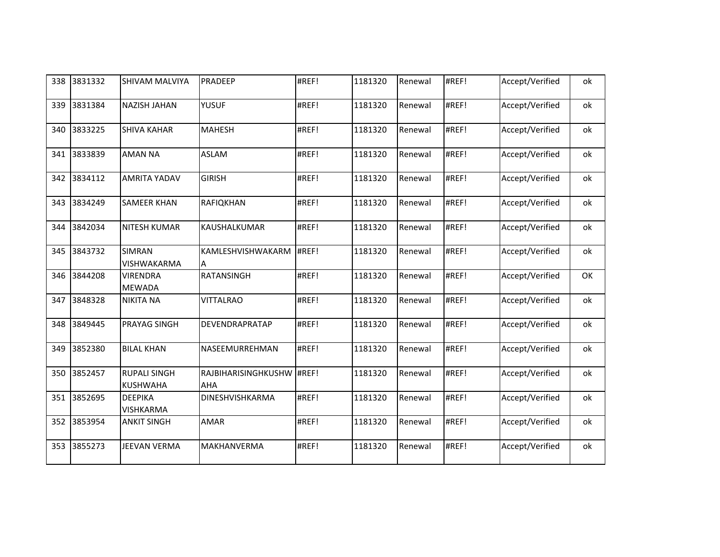| 338 | 3831332 | <b>SHIVAM MALVIYA</b>                  | PRADEEP                    | #REF! | 1181320 | Renewal | #REF! | Accept/Verified | ok |
|-----|---------|----------------------------------------|----------------------------|-------|---------|---------|-------|-----------------|----|
| 339 | 3831384 | <b>NAZISH JAHAN</b>                    | <b>YUSUF</b>               | #REF! | 1181320 | Renewal | #REF! | Accept/Verified | оk |
| 340 | 3833225 | <b>SHIVA KAHAR</b>                     | <b>MAHESH</b>              | #REF! | 1181320 | Renewal | #REF! | Accept/Verified | ok |
| 341 | 3833839 | <b>AMAN NA</b>                         | <b>ASLAM</b>               | #REF! | 1181320 | Renewal | #REF! | Accept/Verified | ok |
| 342 | 3834112 | <b>AMRITA YADAV</b>                    | <b>GIRISH</b>              | #REF! | 1181320 | Renewal | #REF! | Accept/Verified | ok |
| 343 | 3834249 | <b>SAMEER KHAN</b>                     | RAFIQKHAN                  | #REF! | 1181320 | Renewal | #REF! | Accept/Verified | ok |
| 344 | 3842034 | <b>NITESH KUMAR</b>                    | KAUSHALKUMAR               | #REF! | 1181320 | Renewal | #REF! | Accept/Verified | ok |
| 345 | 3843732 | <b>SIMRAN</b><br>VISHWAKARMA           | KAMLESHVISHWAKARM<br>A     | #REF! | 1181320 | Renewal | #REF! | Accept/Verified | оk |
| 346 | 3844208 | <b>VIRENDRA</b><br><b>MEWADA</b>       | <b>RATANSINGH</b>          | #REF! | 1181320 | Renewal | #REF! | Accept/Verified | OK |
| 347 | 3848328 | <b>NIKITA NA</b>                       | <b>VITTALRAO</b>           | #REF! | 1181320 | Renewal | #REF! | Accept/Verified | оk |
| 348 | 3849445 | <b>PRAYAG SINGH</b>                    | <b>DEVENDRAPRATAP</b>      | #REF! | 1181320 | Renewal | #REF! | Accept/Verified | ok |
| 349 | 3852380 | <b>BILAL KHAN</b>                      | NASEEMURREHMAN             | #REF! | 1181320 | Renewal | #REF! | Accept/Verified | оk |
| 350 | 3852457 | <b>RUPALI SINGH</b><br><b>KUSHWAHA</b> | RAJBIHARISINGHKUSHW<br>AHA | #REF! | 1181320 | Renewal | #REF! | Accept/Verified | ok |
| 351 | 3852695 | <b>DEEPIKA</b><br><b>VISHKARMA</b>     | DINESHVISHKARMA            | #REF! | 1181320 | Renewal | #REF! | Accept/Verified | ok |
| 352 | 3853954 | <b>ANKIT SINGH</b>                     | <b>AMAR</b>                | #REF! | 1181320 | Renewal | #REF! | Accept/Verified | ok |
| 353 | 3855273 | JEEVAN VERMA                           | <b>MAKHANVERMA</b>         | #REF! | 1181320 | Renewal | #REF! | Accept/Verified | ok |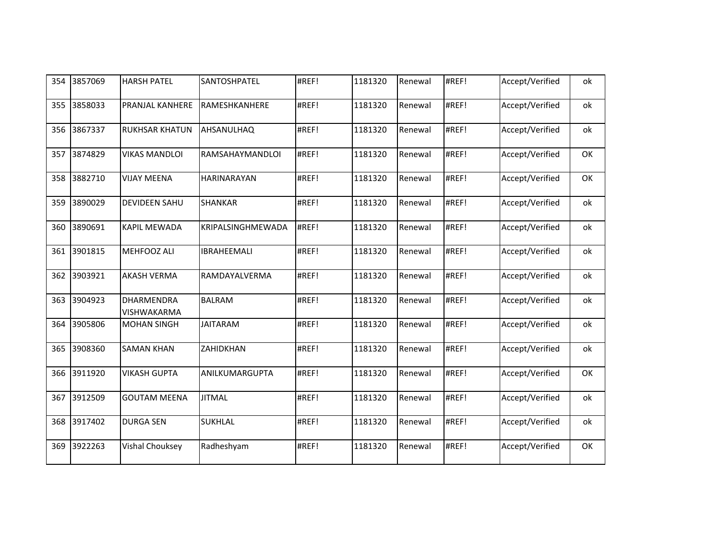| 354 | 3857069 | <b>HARSH PATEL</b>                      | SANTOSHPATEL       | #REF! | 1181320 | Renewal | #REF! | Accept/Verified | ok |
|-----|---------|-----------------------------------------|--------------------|-------|---------|---------|-------|-----------------|----|
| 355 | 3858033 | PRANJAL KANHERE                         | RAMESHKANHERE      | #REF! | 1181320 | Renewal | #REF! | Accept/Verified | ok |
| 356 | 3867337 | RUKHSAR KHATUN                          | AHSANULHAQ         | #REF! | 1181320 | Renewal | #REF! | Accept/Verified | ok |
| 357 | 3874829 | <b>VIKAS MANDLOI</b>                    | RAMSAHAYMANDLOI    | #REF! | 1181320 | Renewal | #REF! | Accept/Verified | OK |
| 358 | 3882710 | <b>VIJAY MEENA</b>                      | <b>HARINARAYAN</b> | #REF! | 1181320 | Renewal | #REF! | Accept/Verified | OK |
| 359 | 3890029 | <b>DEVIDEEN SAHU</b>                    | <b>SHANKAR</b>     | #REF! | 1181320 | Renewal | #REF! | Accept/Verified | ok |
| 360 | 3890691 | <b>KAPIL MEWADA</b>                     | KRIPALSINGHMEWADA  | #REF! | 1181320 | Renewal | #REF! | Accept/Verified | ok |
| 361 | 3901815 | MEHFOOZ ALI                             | <b>IBRAHEEMALI</b> | #REF! | 1181320 | Renewal | #REF! | Accept/Verified | ok |
| 362 | 3903921 | <b>AKASH VERMA</b>                      | RAMDAYALVERMA      | #REF! | 1181320 | Renewal | #REF! | Accept/Verified | ok |
| 363 | 3904923 | <b>DHARMENDRA</b><br><b>VISHWAKARMA</b> | <b>BALRAM</b>      | #REF! | 1181320 | Renewal | #REF! | Accept/Verified | ok |
| 364 | 3905806 | <b>MOHAN SINGH</b>                      | <b>JAITARAM</b>    | #REF! | 1181320 | Renewal | #REF! | Accept/Verified | ok |
| 365 | 3908360 | <b>SAMAN KHAN</b>                       | ZAHIDKHAN          | #REF! | 1181320 | Renewal | #REF! | Accept/Verified | ok |
| 366 | 3911920 | <b>VIKASH GUPTA</b>                     | ANILKUMARGUPTA     | #REF! | 1181320 | Renewal | #REF! | Accept/Verified | OK |
| 367 | 3912509 | <b>GOUTAM MEENA</b>                     | <b>JITMAL</b>      | #REF! | 1181320 | Renewal | #REF! | Accept/Verified | ok |
| 368 | 3917402 | <b>DURGA SEN</b>                        | <b>SUKHLAL</b>     | #REF! | 1181320 | Renewal | #REF! | Accept/Verified | ok |
| 369 | 3922263 | Vishal Chouksey                         | Radheshyam         | #REF! | 1181320 | Renewal | #REF! | Accept/Verified | OK |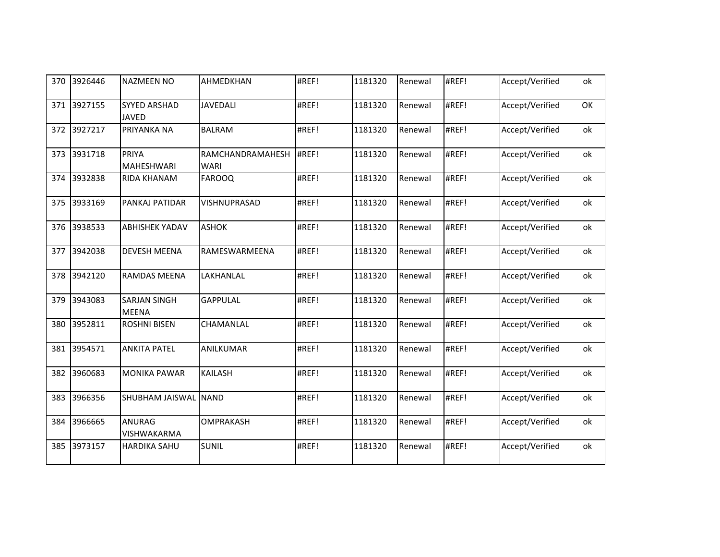| 370 | 3926446 | <b>NAZMEEN NO</b>                   | AHMEDKHAN                | #REF! | 1181320 | Renewal | #REF! | Accept/Verified | ok |
|-----|---------|-------------------------------------|--------------------------|-------|---------|---------|-------|-----------------|----|
| 371 | 3927155 | <b>SYYED ARSHAD</b><br><b>JAVED</b> | <b>JAVEDALI</b>          | #REF! | 1181320 | Renewal | #REF! | Accept/Verified | OK |
| 372 | 3927217 | PRIYANKA NA                         | <b>BALRAM</b>            | #REF! | 1181320 | Renewal | #REF! | Accept/Verified | ok |
| 373 | 3931718 | PRIYA<br><b>MAHESHWARI</b>          | RAMCHANDRAMAHESH<br>WARI | #REF! | 1181320 | Renewal | #REF! | Accept/Verified | ok |
| 374 | 3932838 | <b>RIDA KHANAM</b>                  | <b>FAROOQ</b>            | #REF! | 1181320 | Renewal | #REF! | Accept/Verified | ok |
| 375 | 3933169 | PANKAJ PATIDAR                      | VISHNUPRASAD             | #REF! | 1181320 | Renewal | #REF! | Accept/Verified | ok |
| 376 | 3938533 | <b>ABHISHEK YADAV</b>               | <b>ASHOK</b>             | #REF! | 1181320 | Renewal | #REF! | Accept/Verified | ok |
| 377 | 3942038 | <b>DEVESH MEENA</b>                 | RAMESWARMEENA            | #REF! | 1181320 | Renewal | #REF! | Accept/Verified | ok |
| 378 | 3942120 | <b>RAMDAS MEENA</b>                 | LAKHANLAL                | #REF! | 1181320 | Renewal | #REF! | Accept/Verified | ok |
| 379 | 3943083 | <b>SARJAN SINGH</b><br><b>MEENA</b> | <b>GAPPULAL</b>          | #REF! | 1181320 | Renewal | #REF! | Accept/Verified | ok |
| 380 | 3952811 | <b>ROSHNI BISEN</b>                 | CHAMANLAL                | #REF! | 1181320 | Renewal | #REF! | Accept/Verified | ok |
| 381 | 3954571 | <b>ANKITA PATEL</b>                 | ANILKUMAR                | #REF! | 1181320 | Renewal | #REF! | Accept/Verified | ok |
| 382 | 3960683 | <b>MONIKA PAWAR</b>                 | <b>KAILASH</b>           | #REF! | 1181320 | Renewal | #REF! | Accept/Verified | ok |
| 383 | 3966356 | <b>SHUBHAM JAISWAL</b>              | <b>NAND</b>              | #REF! | 1181320 | Renewal | #REF! | Accept/Verified | ok |
| 384 | 3966665 | <b>ANURAG</b><br>VISHWAKARMA        | <b>OMPRAKASH</b>         | #REF! | 1181320 | Renewal | #REF! | Accept/Verified | ok |
| 385 | 3973157 | <b>HARDIKA SAHU</b>                 | <b>SUNIL</b>             | #REF! | 1181320 | Renewal | #REF! | Accept/Verified | ok |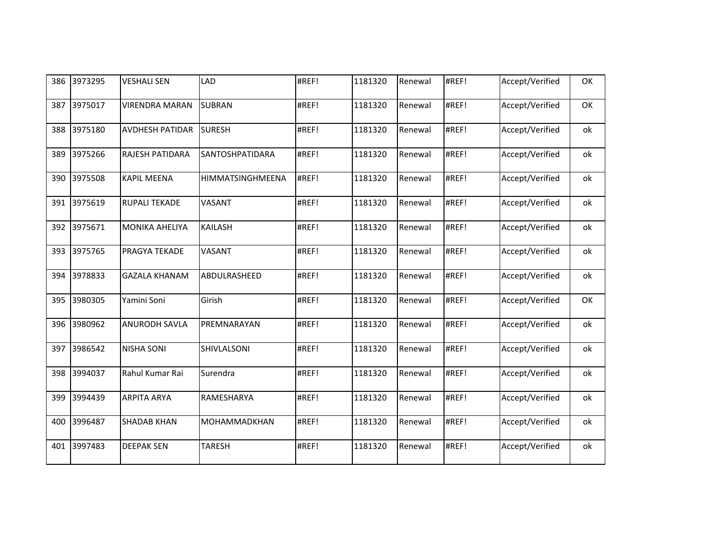| 386 | 3973295 | <b>VESHALI SEN</b>     | LAD                    | #REF! | 1181320 | Renewal | #REF! | Accept/Verified | OK |
|-----|---------|------------------------|------------------------|-------|---------|---------|-------|-----------------|----|
| 387 | 3975017 | <b>VIRENDRA MARAN</b>  | <b>SUBRAN</b>          | #REF! | 1181320 | Renewal | #REF! | Accept/Verified | OK |
| 388 | 3975180 | <b>AVDHESH PATIDAR</b> | <b>SURESH</b>          | #REF! | 1181320 | Renewal | #REF! | Accept/Verified | ok |
| 389 | 3975266 | <b>RAJESH PATIDARA</b> | <b>SANTOSHPATIDARA</b> | #REF! | 1181320 | Renewal | #REF! | Accept/Verified | ok |
| 390 | 3975508 | <b>KAPIL MEENA</b>     | HIMMATSINGHMEENA       | #REF! | 1181320 | Renewal | #REF! | Accept/Verified | ok |
| 391 | 3975619 | <b>RUPALI TEKADE</b>   | VASANT                 | #REF! | 1181320 | Renewal | #REF! | Accept/Verified | ok |
| 392 | 3975671 | <b>MONIKA AHELIYA</b>  | <b>KAILASH</b>         | #REF! | 1181320 | Renewal | #REF! | Accept/Verified | ok |
| 393 | 3975765 | PRAGYA TEKADE          | VASANT                 | #REF! | 1181320 | Renewal | #REF! | Accept/Verified | ok |
| 394 | 3978833 | <b>GAZALA KHANAM</b>   | ABDULRASHEED           | #REF! | 1181320 | Renewal | #REF! | Accept/Verified | ok |
| 395 | 3980305 | Yamini Soni            | Girish                 | #REF! | 1181320 | Renewal | #REF! | Accept/Verified | OK |
| 396 | 3980962 | <b>ANURODH SAVLA</b>   | PREMNARAYAN            | #REF! | 1181320 | Renewal | #REF! | Accept/Verified | ok |
| 397 | 3986542 | <b>NISHA SONI</b>      | SHIVLALSONI            | #REF! | 1181320 | Renewal | #REF! | Accept/Verified | ok |
| 398 | 3994037 | Rahul Kumar Rai        | Surendra               | #REF! | 1181320 | Renewal | #REF! | Accept/Verified | ok |
| 399 | 3994439 | <b>ARPITA ARYA</b>     | RAMESHARYA             | #REF! | 1181320 | Renewal | #REF! | Accept/Verified | ok |
| 400 | 3996487 | <b>SHADAB KHAN</b>     | MOHAMMADKHAN           | #REF! | 1181320 | Renewal | #REF! | Accept/Verified | ok |
| 401 | 3997483 | <b>DEEPAK SEN</b>      | <b>TARESH</b>          | #REF! | 1181320 | Renewal | #REF! | Accept/Verified | ok |